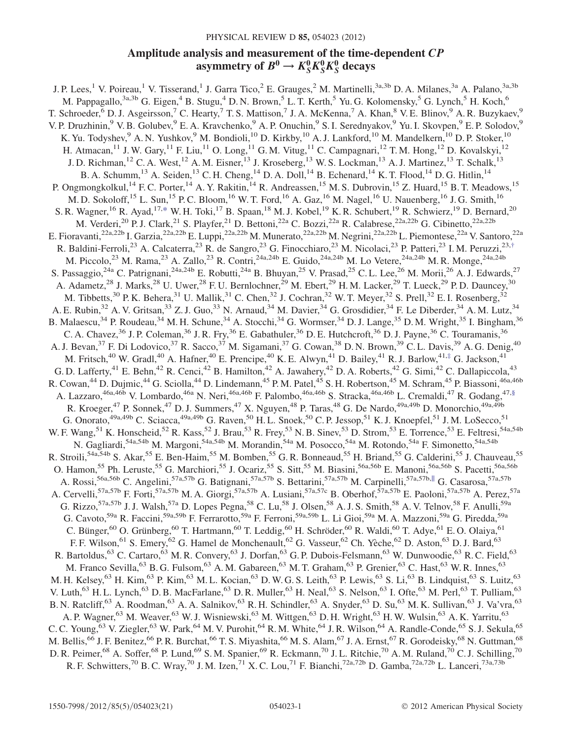# PHYSICAL REVIEW D 85, 054023 (2012)

# Amplitude analysis and measurement of the time-dependent CP asymmetry of  $B^0 \to K_S^0 K_S^0 K_S^0$  decays

<span id="page-0-3"></span><span id="page-0-2"></span><span id="page-0-1"></span><span id="page-0-0"></span>J. P. Lees,<sup>1</sup> V. Poireau,<sup>1</sup> V. Tisserand,<sup>1</sup> J. Garra Tico,<sup>2</sup> E. Grauges,<sup>2</sup> M. Martinelli,<sup>3a,3b</sup> D. A. Milanes,<sup>3a</sup> A. Palano,<sup>3a,3b</sup> M. Pappagallo,  $3a,3b$  G. Eigen,  $4B$ . Stugu,  $4D$ . N. Brown,  $5L$ . T. Kerth,  $5Yu$ . G. Kolomensky,  $5G$ . Lynch,  $5H$ . Koch,  $6$ T. Schroeder, <sup>6</sup> D. J. Asgeirsson, <sup>7</sup> C. Hearty, <sup>7</sup> T. S. Mattison, <sup>7</sup> J. A. McKenna, <sup>7</sup> A. Khan, <sup>8</sup> V. E. Blinov, <sup>9</sup> A. R. Buzykaev, <sup>9</sup> V. P. Druzhinin,<sup>9</sup> V. B. Golubev,<sup>9</sup> E. A. Kravchenko,<sup>9</sup> A. P. Onuchin,<sup>9</sup> S. I. Serednyakov,<sup>9</sup> Yu. I. Skovpen,<sup>9</sup> E. P. Solodov, K. Yu. Todyshev, <sup>9</sup> A. N. Yushkov, <sup>9</sup> M. Bondioli, <sup>10</sup> D. Kirkby, <sup>10</sup> A. J. Lankford, <sup>10</sup> M. Mandelkern, <sup>10</sup> D. P. Stoker, <sup>10</sup> H. Atmacan,<sup>11</sup> J. W. Gary,<sup>11</sup> F. Liu,<sup>11</sup> O. Long,<sup>11</sup> G. M. Vitug,<sup>11</sup> C. Campagnari,<sup>12</sup> T. M. Hong,<sup>12</sup> D. Kovalskyi,<sup>12</sup> J. D. Richman,<sup>12</sup> C. A. West,<sup>12</sup> A. M. Eisner,<sup>13</sup> J. Kroseberg,<sup>13</sup> W. S. Lockman,<sup>13</sup> A. J. Martinez,<sup>13</sup> T. Schalk,<sup>13</sup> B. A. Schumm,<sup>13</sup> A. Seiden,<sup>13</sup> C. H. Cheng,<sup>14</sup> D. A. Doll,<sup>14</sup> B. Echenard,<sup>14</sup> K. T. Flood,<sup>14</sup> D. G. Hitlin,<sup>14</sup> P. Ongmongkolkul,<sup>14</sup> F. C. Porter,<sup>14</sup> A. Y. Rakitin,<sup>14</sup> R. Andreassen,<sup>15</sup> M. S. Dubrovin,<sup>15</sup> Z. Huard,<sup>15</sup> B. T. Meadows,<sup>15</sup> M. D. Sokoloff,<sup>15</sup> L. Sun,<sup>15</sup> P. C. Bloom,<sup>16</sup> W. T. Ford,<sup>16</sup> A. Gaz,<sup>16</sup> M. Nagel,<sup>16</sup> U. Nauenberg,<sup>16</sup> J. G. Smith,<sup>16</sup> S. R. Wagner, <sup>16</sup> R. Ayad, <sup>17[,\\*](#page-2-0)</sup> W. H. Toki, <sup>17</sup> B. Spaan, <sup>18</sup> M. J. Kobel, <sup>19</sup> K. R. Schubert, <sup>19</sup> R. Schwierz, <sup>19</sup> D. Bernard, <sup>20</sup> M. Verderi,<sup>20</sup> P. J. Clark,<sup>21</sup> S. Playfer,<sup>21</sup> D. Bettoni,<sup>22a</sup> C. Bozzi,<sup>22a</sup> R. Calabrese,<sup>22a,22b</sup> G. Cibinetto,<sup>22a,22b</sup> E. Fioravanti,<sup>22a,22b</sup> I. Garzia,<sup>22a,22b</sup> E. Luppi,<sup>22a,22b</sup> M. Munerato,<sup>22a,22b</sup> M. Negrini,<sup>22a,22b</sup> L. Piemontese,<sup>22a</sup> V. Santoro,<sup>22a</sup> R. Baldini-Ferroli,<sup>23</sup> A. Calcaterra,<sup>23</sup> R. de Sangro,<sup>23</sup> G. Finocchiaro,<sup>23</sup> M. Nicolaci,<sup>23</sup> P. Patteri,<sup>23</sup> I. M. Peruzzi,<sup>23[,†](#page-2-1)</sup> M. Piccolo,<sup>23</sup> M. Rama,<sup>23</sup> A. Zallo,<sup>23</sup> R. Contri,<sup>24a,24b</sup> E. Guido,<sup>24a,24b</sup> M. Lo Vetere,<sup>24a,24b</sup> M. R. Monge,<sup>24a,24b</sup> S. Passaggio,<sup>24a</sup> C. Patrignani,<sup>24a,24b</sup> E. Robutti,<sup>24a</sup> B. Bhuyan,<sup>25</sup> V. Prasad,<sup>25</sup> C. L. Lee,<sup>26</sup> M. Morii,<sup>26</sup> A. J. Edwards,<sup>27</sup> A. Adametz,<sup>28</sup> J. Marks,<sup>28</sup> U. Uwer,<sup>28</sup> F. U. Bernlochner,<sup>29</sup> M. Ebert,<sup>29</sup> H. M. Lacker,<sup>29</sup> T. Lueck,<sup>29</sup> P. D. Dauncey,<sup>30</sup> M. Tibbetts,<sup>30</sup> P. K. Behera,<sup>31</sup> U. Mallik,<sup>31</sup> C. Chen,<sup>32</sup> J. Cochran,<sup>32</sup> W. T. Meyer,<sup>32</sup> S. Prell,<sup>32</sup> E. I. Rosenberg,<sup>32</sup> A. E. Rubin,<sup>32</sup> A. V. Gritsan,<sup>33</sup> Z. J. Guo,<sup>33</sup> N. Arnaud,<sup>34</sup> M. Davier,<sup>34</sup> G. Grosdidier,<sup>34</sup> F. Le Diberder,<sup>34</sup> A. M. Lutz,<sup>34</sup> B. Malaescu,<sup>34</sup> P. Roudeau,<sup>34</sup> M. H. Schune,<sup>34</sup> A. Stocchi,<sup>34</sup> G. Wormser,<sup>34</sup> D. J. Lange,<sup>35</sup> D. M. Wright,<sup>35</sup> I. Bingham,<sup>36</sup> C. A. Chavez,<sup>36</sup> J. P. Coleman,<sup>36</sup> J. R. Fry,<sup>36</sup> E. Gabathuler,<sup>36</sup> D. E. Hutchcroft,<sup>36</sup> D. J. Payne,<sup>36</sup> C. Touramanis,<sup>36</sup> A. J. Bevan,<sup>37</sup> F. Di Lodovico,<sup>37</sup> R. Sacco,<sup>37</sup> M. Sigamani,<sup>37</sup> G. Cowan,<sup>38</sup> D. N. Brown,<sup>39</sup> C. L. Davis,<sup>39</sup> A. G. Denig,<sup>40</sup> M. Fritsch,<sup>40</sup> W. Gradl,<sup>40</sup> A. Hafner,<sup>40</sup> E. Prencipe,<sup>40</sup> K. E. Alwyn,<sup>41</sup> D. Bailey,<sup>41</sup> R. J. Barlow,<sup>41,[‡](#page-2-2)</sup> G. Jackson,<sup>41</sup> G. D. Lafferty,<sup>41</sup> E. Behn,<sup>42</sup> R. Cenci,<sup>42</sup> B. Hamilton,<sup>42</sup> A. Jawahery,<sup>42</sup> D. A. Roberts,<sup>42</sup> G. Simi,<sup>42</sup> C. Dallapiccola,<sup>43</sup> R. Cowan,<sup>44</sup> D. Dujmic,<sup>44</sup> G. Sciolla,<sup>44</sup> D. Lindemann,<sup>45</sup> P. M. Patel,<sup>45</sup> S. H. Robertson,<sup>45</sup> M. Schram,<sup>45</sup> P. Biassoni,<sup>46a,46b</sup> A. Lazzaro,<sup>46a,46b</sup> V. Lombardo,<sup>46a</sup> N. Neri,<sup>46a,46b</sup> F. Palombo,<sup>46a,46b</sup> S. Stracka,<sup>46a,46b</sup> L. Cremaldi,<sup>47</sup> R. Godang,<sup>47,[§](#page-2-3)</sup> R. Kroeger,<sup>47</sup> P. Sonnek,<sup>47</sup> D. J. Summers,<sup>47</sup> X. Nguyen,<sup>48</sup> P. Taras,<sup>48</sup> G. De Nardo,<sup>49a,49b</sup> D. Monorchio,<sup>49a,49b</sup> G. Onorato,  $49a,49b$  C. Sciacca,  $49a,49b$  G. Raven,  $50$  H. L. Snoek,  $50$  C. P. Jessop,  $51$  K. J. Knoepfel,  $51$  J. M. LoSecco,  $51$ W. F. Wang,<sup>51</sup> K. Honscheid,<sup>52</sup> R. Kass,<sup>52</sup> J. Brau,<sup>53</sup> R. Frey,<sup>53</sup> N. B. Sinev,<sup>53</sup> D. Strom,<sup>53</sup> E. Torrence,<sup>53</sup> E. Feltresi,<sup>54a,54b</sup> N. Gagliardi,<sup>54a,54b</sup> M. Margoni,<sup>54a,54b</sup> M. Morandin,<sup>54a</sup> M. Posocco,<sup>54a</sup> M. Rotondo,<sup>54a</sup> F. Simonetto,<sup>54a,54b</sup> M. Andrea Contextual Andrea Contextual Andrea Contextual Andrea Contextual Andrea Contextual Andrea Co R. Stroili,<sup>54a,54b</sup> S. Akar,<sup>55</sup> E. Ben-Haim,<sup>55</sup> M. Bomben,<sup>55</sup> G. R. Bonneaud,<sup>55</sup> H. Briand,<sup>55</sup> G. Calderini,<sup>55</sup> J. Chauveau,<sup>55</sup> O. Hamon,<sup>55</sup> Ph. Leruste,<sup>55</sup> G. Marchiori,<sup>55</sup> J. Ocariz,<sup>55</sup> S. Sitt,<sup>55</sup> M. Biasini,<sup>56a,56b</sup> E. Manoni,<sup>56a,56b</sup> S. Pacetti,<sup>56a,56b</sup> A. Rossi,<sup>56a,56b</sup> C. Angelini,<sup>57a,57b</sup> G. Batignani,<sup>57a,57b</sup> S. Bettarini,<sup>57a,57b</sup> M. Carpinelli,<sup>57a,57b,||</sup> G. Casarosa,<sup>57a,57b</sup> A. Cervelli,<sup>57a,57b</sup> F. Forti,<sup>57a,57b</sup> M. A. Giorgi,<sup>57a,57b</sup> A. Lusiani,<sup>57a,57c</sup> B. Oberhof,<sup>57a,57b</sup> E. Paoloni,<sup>57a,57b</sup> A. Perez,<sup>57a</sup> G. Rizzo,  $57a,57b$  J. J. Walsh,  $57a$  D. Lopes Pegna,  $58$  C. Lu,  $58$  J. Olsen,  $58$  A. J. S. Smith,  $58$  A. V. Telnov,  $58$  F. Anulli,  $59a$ G. Cavoto,<sup>59a</sup> R. Faccini,<sup>59a,59b</sup> F. Ferrarotto,<sup>59a</sup> F. Ferroni,<sup>59a,59b</sup> L. Li Gioi,<sup>59a</sup> M. A. Mazzoni,<sup>59a</sup> G. Piredda,<sup>59a</sup> C. Bünger,<sup>60</sup> O. Grünberg,<sup>60</sup> T. Hartmann,<sup>60</sup> T. Leddig,<sup>60</sup> H. Schröder,<sup>60</sup> R. Waldi,<sup>60</sup> T. Adye,<sup>61</sup> E. O. Olaiya,<sup>61</sup> F. F. Wilson,<sup>61</sup> S. Emery,<sup>62</sup> G. Hamel de Monchenault,<sup>62</sup> G. Vasseur,<sup>62</sup> Ch. Yèche,<sup>62</sup> D. Aston,<sup>63</sup> D. J. Bard,<sup>63</sup> R. Bartoldus, <sup>63</sup> C. Cartaro, <sup>63</sup> M. R. Convery, <sup>63</sup> J. Dorfan, <sup>63</sup> G. P. Dubois-Felsmann, <sup>63</sup> W. Dunwoodie, <sup>63</sup> R. C. Field, <sup>63</sup> M. Franco Sevilla, <sup>63</sup> B. G. Fulsom, <sup>63</sup> A. M. Gabareen, <sup>63</sup> M. T. Graham, <sup>63</sup> P. Grenier, <sup>63</sup> C. Hast, <sup>63</sup> W. R. Innes, <sup>63</sup> M. H. Kelsey,<sup>63</sup> H. Kim,<sup>63</sup> P. Kim,<sup>63</sup> M. L. Kocian,<sup>63</sup> D. W. G. S. Leith,<sup>63</sup> P. Lewis,<sup>63</sup> S. Li,<sup>63</sup> B. Lindquist,<sup>63</sup> S. Luitz,<sup>63</sup> V. Luth,<sup>63</sup> H. L. Lynch,<sup>63</sup> D. B. MacFarlane,<sup>63</sup> D. R. Muller,<sup>63</sup> H. Neal,<sup>63</sup> S. Nelson,<sup>63</sup> I. Ofte,<sup>63</sup> M. Perl,<sup>63</sup> T. Pulliam,<sup>63</sup> B. N. Ratcliff,<sup>63</sup> A. Roodman,<sup>63</sup> A. A. Salnikov,<sup>63</sup> R. H. Schindler,<sup>63</sup> A. Snyder,<sup>63</sup> D. Su,<sup>63</sup> M. K. Sullivan,<sup>63</sup> J. Va'vra,<sup>63</sup> A. P. Wagner,<sup>63</sup> M. Weaver,<sup>63</sup> W. J. Wisniewski,<sup>63</sup> M. Wittgen,<sup>63</sup> D. H. Wright,<sup>63</sup> H. W. Wulsin,<sup>63</sup> A. K. Yarritu,<sup>63</sup> C. C. Young, <sup>63</sup> V. Ziegler, <sup>63</sup> W. Park, <sup>64</sup> M. V. Purohit, <sup>64</sup> R. M. White, <sup>64</sup> J. R. Wilson, <sup>64</sup> A. Randle-Conde, <sup>65</sup> S. J. Sekula, <sup>65</sup> M. Bellis,<sup>66</sup> J. F. Benitez,<sup>66</sup> P. R. Burchat,<sup>66</sup> T. S. Miyashita,<sup>66</sup> M. S. Alam,<sup>67</sup> J. A. Ernst,<sup>67</sup> R. Gorodeisky,<sup>68</sup> N. Guttman,<sup>68</sup> D. R. Peimer,<sup>68</sup> A. Soffer,<sup>68</sup> P. Lund,<sup>69</sup> S. M. Spanier,<sup>69</sup> R. Eckmann,<sup>70</sup> J. L. Ritchie,<sup>70</sup> A. M. Ruland,<sup>70</sup> C. J. Schilling,<sup>70</sup> R. F. Schwitters,<sup>70</sup> B. C. Wray,<sup>70</sup> J. M. Izen,<sup>71</sup> X. C. Lou,<sup>71</sup> F. Bianchi,<sup>72a,72b</sup> D. Gamba,<sup>72a,72b</sup> L. Lanceri,<sup>73a,73b</sup>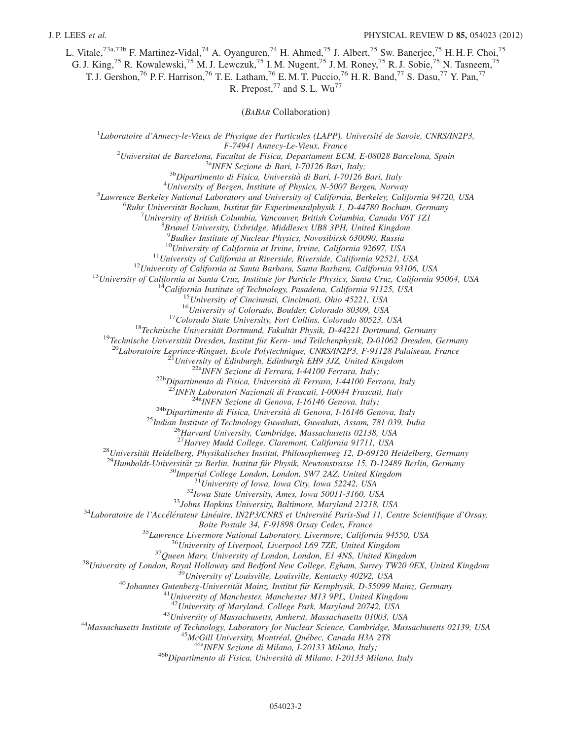L. Vitale,<sup>73a,73b</sup> F. Martinez-Vidal,<sup>74</sup> A. Oyanguren,<sup>74</sup> H. Ahmed,<sup>75</sup> J. Albert,<sup>75</sup> Sw. Banerjee,<sup>75</sup> H. H. F. Choi,<sup>75</sup>

G. J. King,<sup>75</sup> R. Kowalewski,<sup>75</sup> M. J. Lewczuk,<sup>75</sup> I. M. Nugent,<sup>75</sup> J. M. Roney,<sup>75</sup> R. J. Sobie,<sup>75</sup> N. Tasneem,<sup>75</sup>

T. J. Gershon,<sup>76</sup> P. F. Harrison,<sup>76</sup> T. E. Latham,<sup>76</sup> E. M. T. Puccio,<sup>76</sup> H. R. Band,<sup>77</sup> S. Dasu,<sup>77</sup> Y. Pan,<sup>77</sup>

R. Prepost,<sup>77</sup> and S.L. Wu<sup>77</sup>

(BABAR Collaboration)

<sup>1</sup>Laboratoire d'Annecy-le-Vieux de Physique des Particules (LAPP), Université de Savoie, CNRS/IN2P3,

F-74941 Annecy-Le-Vieux, France <sup>2</sup>

Universitat de Barcelona, Facultat de Fisica, Departament ECM, E-08028 Barcelona, Spain<br><sup>3a</sup>INFN Sezione di Bari, I-70126 Bari, Italy;<br><sup>3b</sup>Dipartimento di Fisica, Università di Bari, I-70126 Bari, Italy <sup>4</sup>University of B

 $^{4}$ University of Bergen, Institute of Physics, N-5007 Bergen, Norway

 ${}^{5}$ Lawrence Berkeley National Laboratory and University of California, Berkeley, California 94720, USA

 ${}^{6}$ Ruhr Universität Bochum, Institut für Experimentalphysik 1, D-44780 Bochum, Germany

 $^{7}$ University of British Columbia, Vancouver, British Columbia, Canada V6T 1Z1

 $8B$ runel University, Uxbridge, Middlesex UB8 3PH, United Kingdom

9 Budker Institute of Nuclear Physics, Novosibirsk 630090, Russia

<sup>10</sup>University of California at Irvine, California 92697, USA<br>
<sup>11</sup>University of California at Riverside, Riverside, California 92521, USA<br>
<sup>12</sup>University of California at Sanda Barbara, Santa Barbara, California 93106, U

<sup>28</sup>Universität Heidelberg, Physikalisches Institut, Philosophenweg 12, D-69120 Heidelberg, Germany<br><sup>29</sup>Humboldt-Universität zu Berlin, Institut für Physik, Newtonstrasse 15, D-12489 Berlin, Germany<br><sup>30</sup>Imperial College L

Boite Postale 34, F-91898 Orsay Cedex, France<br><sup>35</sup> Lawrence Livermore National Laboratory, Livermore, California 94550, USA<br><sup>36</sup> University of Liverpool, Liverpool L69 7ZE, United Kingdom<br><sup>37</sup> Queen Mary, University of Lon

<sup>43</sup>University of Massachusetts, Amherst, Massachusetts 01003, USA<br><sup>44</sup>Massachusetts Institute of Technology, Laboratory for Nuclear Science, Cambridge, Massachusetts 02139, USA<br><sup>45</sup>McGill University, Montréal, Québec, Ca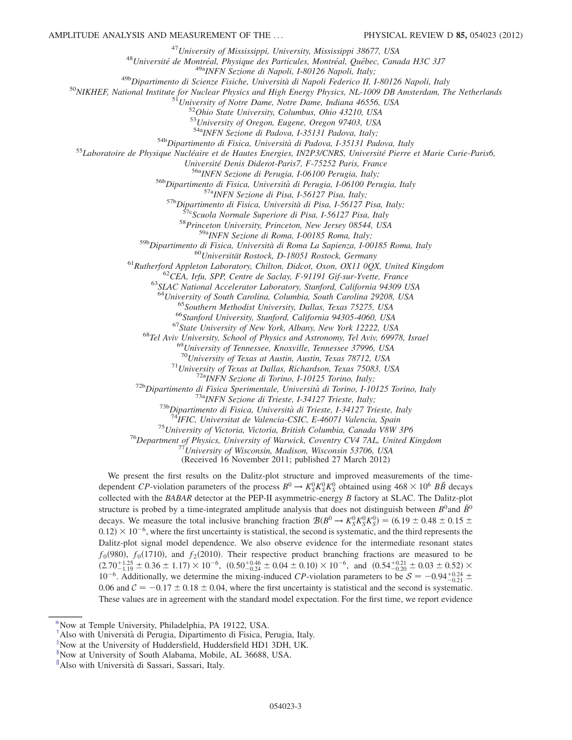<sup>47</sup>University of Mississippi, University, Mississippi 38677, USA<br><sup>48</sup>Université de Montréal, Physique des Particules, Montréal, Québec, Canada H3C 3J7<br><sup>49a</sup>INFN Sezione di Napoli, I-80126 Napoli, Italy;<br><sup>49b</sup>Dipartimento

 $53$ University of Oregon, Eugene, Oregon 97403, USA<br> $54$ <sup>34</sup>INFN Sezione di Padova, I-35131 Padova, Italy;

<sup>54b</sup>Dipartimento di Fisica, Università di Padova, I-35131 Padova, Italy<br><sup>55</sup>Laboratoire de Physique Nucléaire et de Hautes Energies, IN2P3/CNRS, Université Pierre et Marie Curie-Paris6,<br>Université Denis Diderot-Paris7, F-

Université Denis Diderot-Paris7, F-75252 Paris, France<br>
<sup>56a</sup>INFN Sezione di Perugia, 1-06100 Perugia, Italy;<br>
<sup>56b</sup>Dipartimento di Fisica, Università di Perugia, 1-06100 Perugia, Italy;<br>
<sup>57a</sup>INFN Sezione di Pisa, 1-5612

<sup>63</sup>SLAC National Accelerator Laboratory, Stanford, California 94309 USA<br><sup>64</sup>University of South Carolina, Columbia, South Carolina 29208, USA<br><sup>65</sup>Southern Methodist University, Dallas, Texas 75275, USA<br><sup>65</sup>Stanford Unive

<sup>70</sup>University of Texas at Austin, Austin, Texas 78712, USA<br><sup>71</sup>University of Texas at Dallas, Richardson, Texas 75083, USA<br><sup>72b</sup>Dipartimento di Fisica Sperimentale, Università di Torino, I-10125 Torino, Italy<br><sup>72b</sup>Dipart

(Received 16 November 2011; published 27 March 2012)

We present the first results on the Dalitz-plot structure and improved measurements of the timedependent CP-violation parameters of the process  $B^0 \to K_S^0 K_S^0 K_S^0$  obtained using  $468 \times 10^6$   $B\overline{B}$  decays collected with the BABAR detector at the PEP-II asymmetric-energy B factory at SLAC. The Dalitz-plot structure is probed by a time-integrated amplitude analysis that does not distinguish between  $B^0$  and  $\bar{B}^0$ decays. We measure the total inclusive branching fraction  $\mathcal{B}(B^0 \to K_S^0 K_S^0 K_S^0) = (6.19 \pm 0.48 \pm 0.15 \pm 0.12) \times 10^{-6}$  where the first uncertainty is statistical, the second is systematic, and the third represents the  $0.12 \times 10^{-6}$ , where the first uncertainty is statistical, the second is systematic, and the third represents the Dalitz-plot signal model dependence. We also observe evidence for the intermediate resonant states  $f_0(980)$ ,  $f_0(1710)$ , and  $f_2(2010)$ . Their respective product branching fractions are measured to be  $(2.70^{+1.25} + 0.36 + 1.17) \times 10^{-6}$  (0.50<sup>+0.46</sup> + 0.04 + 0.10)  $\times 10^{-6}$  and  $(0.54^{+0.21} + 0.03 + 0.52) \times$  $(2.70^{+1.25}_{-1.19} \pm 0.36 \pm 1.17) \times 10^{-6}$ ,  $(0.50^{+0.46}_{-0.46} \pm 0.04 \pm 0.10) \times 10^{-6}$ , and  $(0.54^{+0.21}_{-0.20} \pm 0.03 \pm 0.52) \times 10^{-6}$ . Additionally we determine the mixing induced *CP* violation parameters to be  $S = -0$ 10<sup>-6</sup>. Additionally, we determine the mixing-induced CP-violation parameters to be  $S = -0.94^{+0.24}_{-0.21} \pm$ 0.06 and  $C = -0.17 \pm 0.18 \pm 0.04$ , where the first upcertainty is statistical and the second is systematic. 0.06 and  $C = -0.17 \pm 0.18 \pm 0.04$ , where the first uncertainty is statistical and the second is systematic.<br>These values are in agreement with the standard model expectation. For the first time, we report evidence These values are in agreement with the standard model expectation. For the first time, we report evidence

<span id="page-2-0"></span>[<sup>\\*</sup>N](#page-0-0)ow at Temple University, Philadelphia, PA 19122, USA.

<span id="page-2-1"></span>[<sup>†</sup>](#page-0-1) Also with Universita` di Perugia, Dipartimento di Fisica, Perugia, Italy.

<span id="page-2-2"></span>[<sup>‡</sup>](#page-0-2) Now at the University of Huddersfield, Huddersfield HD1 3DH, UK.

<span id="page-2-3"></span>[<sup>§</sup>](#page-0-3) Now at University of South Alabama, Mobile, AL 36688, USA.

<sup>&</sup>quot;Also with Università di Sassari, Sassari, Italy.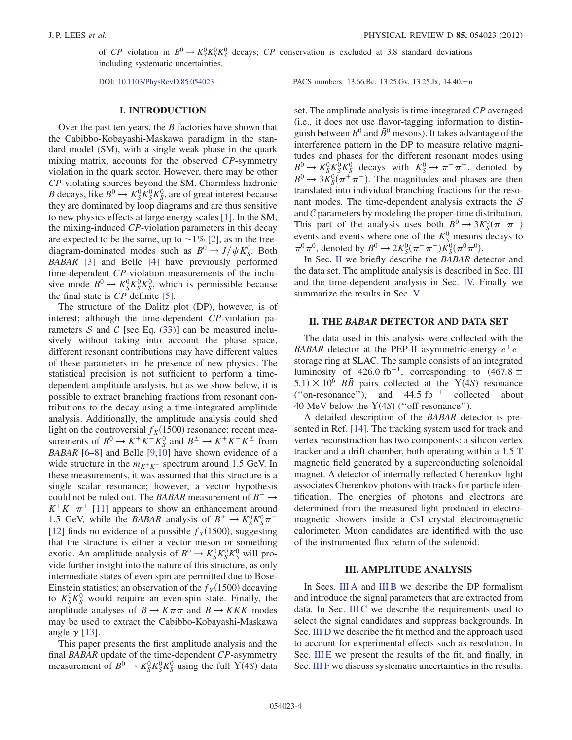of CP violation in  $B^0 \to K_S^0 K_S^0 K_S^0$  decays; CP conservation is excluded at 3.8 standard deviations including systematic uncertainties including systematic uncertainties.

DOI: [10.1103/PhysRevD.85.054023](http://dx.doi.org/10.1103/PhysRevD.85.054023) PACS numbers: 13.66.Bc, 13.25.Gv, 13.25.Jx, 14.40.<sup>n</sup>

# I. INTRODUCTION

Over the past ten years, the  $B$  factories have shown that the Cabibbo-Kobayashi-Maskawa paradigm in the standard model (SM), with a single weak phase in the quark mixing matrix, accounts for the observed CP-symmetry violation in the quark sector. However, there may be other CP-violating sources beyond the SM. Charmless hadronic B decays, like  $B^0 \to K_S^0 K_S^0 K_S^0$ , are of great interest because<br>they are dominated by loop diagrams and are thus sensitive they are dominated by loop diagrams and are thus sensitive to new physics effects at large energy scales [[1](#page-20-0)]. In the SM, the mixing-induced CP-violation parameters in this decay are expected to be the same, up to  $\sim$  1% [\[2](#page-20-1)], as in the treediagram-dominated modes such as  $B^0 \rightarrow J/\psi K_S^0$ . Both RARAR [3] and Belle [4] have previously performed BABAR [\[3\]](#page-20-2) and Belle [\[4](#page-20-3)] have previously performed time-dependent CP-violation measurements of the inclusive mode  $B^0 \to K_S^0 K_S^0 K_S^0$ , which is permissible because<br>the final state is  $CP$  definite [5] the final state is CP definite [[5](#page-20-4)].

The structure of the Dalitz plot (DP), however, is of interest; although the time-dependent CP-violation parameters S and C [see Eq.  $(33)$ ] can be measured inclusively without taking into account the phase space, different resonant contributions may have different values of these parameters in the presence of new physics. The statistical precision is not sufficient to perform a timedependent amplitude analysis, but as we show below, it is possible to extract branching fractions from resonant contributions to the decay using a time-integrated amplitude analysis. Additionally, the amplitude analysis could shed light on the controversial  $f_X(1500)$  resonance: recent measurements of  $B^0 \to K^+ K^- K^0_S$  and  $B^{\pm} \to K^+ K^- K^{\pm}$  from<br>RARAR [6-8] and Belle [9,10] have shown evidence of a BABAR [[6–](#page-20-5)[8](#page-20-6)] and Belle [[9](#page-20-7),[10](#page-20-8)] have shown evidence of a wide structure in the  $m_{K^+K^-}$  spectrum around 1.5 GeV. In these measurements, it was assumed that this structure is a single scalar resonance; however, a vector hypothesis could not be ruled out. The BABAR measurement of  $B^+ \rightarrow$  $K^+K^-\pi^+$  [\[11\]](#page-20-9) appears to show an enhancement around 1.5 GeV, while the *BABAR* analysis of  $B^{\pm} \to K_S^0 K_S^0 \pi^{\pm}$ <br>[12] finds no evidence of a possible  $f_{\nu}(1500)$  suggesting [\[12\]](#page-20-10) finds no evidence of a possible  $f<sub>X</sub>(1500)$ , suggesting that the structure is either a vector meson or something exotic. An amplitude analysis of  $B^0 \to K_S^0 K_S^0 K_S^0$  will pro-<br>vide further insight into the nature of this structure, as only vide further insight into the nature of this structure, as only intermediate states of even spin are permitted due to Bose-Einstein statistics; an observation of the  $f_X(1500)$  decaying to  $K_S^0 K_S^0$  would require an even-spin state. Finally, the amplitude analyses of  $B \to K \pi \pi$  and  $B \to K K K$  modes may be used to extract the Cabibbo-Kobayashi-Maskawa angle  $\gamma$  [[13](#page-20-11)].

This paper presents the first amplitude analysis and the final BABAR update of the time-dependent CP-asymmetry measurement of  $B^0 \to K_S^0 K_S^0 K_S^0$  using the full  $Y(4S)$  data

set. The amplitude analysis is time-integrated CP averaged

(i.e., it does not use flavor-tagging information to distinguish between  $B^0$  and  $\bar{B}^0$  mesons). It takes advantage of the interference pattern in the DP to measure relative magnitudes and phases for the different resonant modes using  $B^0 \to K_S^0 K_S^0 K_S^0$  decays with  $K_S^0 \to \pi^+ \pi^-$ , denoted by<br> $B^0 \to 3K^0(\pi^+ \pi^-)$  The magnitudes and phases are then  $B^0 \rightarrow 3K_5^0(\pi^+\pi^-)$ . The magnitudes and phases are then<br>translated into individual branching fractions for the resotranslated into individual branching fractions for the resonant modes. The time-dependent analysis extracts the  $S$ and  $C$  parameters by modeling the proper-time distribution. This part of the analysis uses both  $B^0 \to 3K_S^0(\pi^+\pi^-)$ <br>events and events where one of the  $K^0$  mesons decays to events and events where one of the  $K_S^0$  mesons decays to  $\pi^0 \pi^0$ , denoted by  $B^0 \to 2K_S^0(\pi^+\pi^-)K_S^0(\pi^0\pi^0)$ .<br>In Sec. If we briefly describe the BABAB de

In Sec. [II](#page-3-0) we briefly describe the BABAR detector and the data set. The amplitude analysis is described in Sec. [III](#page-3-1) and the time-dependent analysis in Sec. [IV.](#page-13-0) Finally we summarize the results in Sec. [V.](#page-19-0)

#### <span id="page-3-0"></span>II. THE BABAR DETECTOR AND DATA SET

The data used in this analysis were collected with the BABAR detector at the PEP-II asymmetric-energy  $e^+e^$ storage ring at SLAC. The sample consists of an integrated luminosity of 426.0 fb<sup>-1</sup>, corresponding to  $(467.8 \pm 5.1) \times 10^6$  RR pairs collected at the  $Y(4S)$  resonance  $5.1) \times 10^6$  BB pairs collected at the  $\overline{Y(4S)}$  resonance ("on-resonance"), and  $44.5 \text{ fb}^{-1}$  collected about 40 MeV below the  $Y(4S)$  ("off-resonance").<br>A detailed description of the *BABAR* detailed

A detailed description of the BABAR detector is presented in Ref. [[14](#page-20-12)]. The tracking system used for track and vertex reconstruction has two components: a silicon vertex tracker and a drift chamber, both operating within a 1.5 T magnetic field generated by a superconducting solenoidal magnet. A detector of internally reflected Cherenkov light associates Cherenkov photons with tracks for particle identification. The energies of photons and electrons are determined from the measured light produced in electromagnetic showers inside a CsI crystal electromagnetic calorimeter. Muon candidates are identified with the use of the instrumented flux return of the solenoid.

# III. AMPLITUDE ANALYSIS

<span id="page-3-1"></span>In Secs. [III A](#page-4-0) and [III B](#page-5-0) we describe the DP formalism and introduce the signal parameters that are extracted from data. In Sec. [III C](#page-6-0) we describe the requirements used to select the signal candidates and suppress backgrounds. In Sec. [III D](#page-7-0) we describe the fit method and the approach used to account for experimental effects such as resolution. In Sec. [III E](#page-9-0) we present the results of the fit, and finally, in Sec. [III F](#page-12-0) we discuss systematic uncertainties in the results.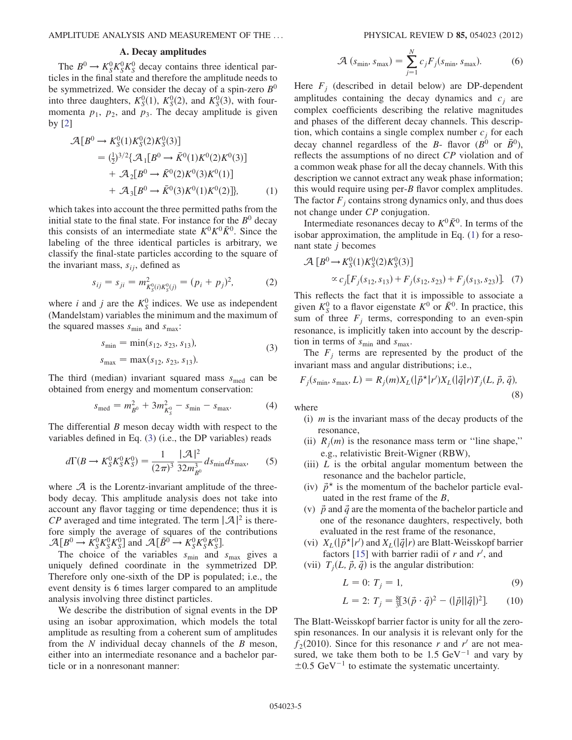# A. Decay amplitudes

<span id="page-4-0"></span>The  $B^0 \to K_S^0 K_S^0 K_S^0$  decay contains three identical par-<br>les in the final state and therefore the amplitude needs to ticles in the final state and therefore the amplitude needs to be symmetrized. We consider the decay of a spin-zero  $B^0$ into three daughters,  $K_S^0(1)$ ,  $K_S^0(2)$ , and  $K_S^0(3)$ , with four-<br>momenta  $R_S$ ,  $R_S$  and  $R_S$ . The decay amplitude is given momenta  $p_1$ ,  $p_2$ , and  $p_3$ . The decay amplitude is given by [[2](#page-20-1)]

<span id="page-4-2"></span>
$$
\mathcal{A}[B^0 \to K_S^0(1)K_S^0(2)K_S^0(3)]
$$
  
=  $(\frac{1}{2})^{3/2}\{\mathcal{A}_1[B^0 \to \bar{K}^0(1)K^0(2)K^0(3)]$   
+  $\mathcal{A}_2[B^0 \to \bar{K}^0(2)K^0(3)K^0(1)]$   
+  $\mathcal{A}_3[B^0 \to \bar{K}^0(3)K^0(1)K^0(2)]$ , (1)

which takes into account the three permitted paths from the initial state to the final state. For instance for the  $B^0$  decay this consists of an intermediate state  $K^0 K^0 \overline{K}{}^0$ . Since the labeling of the three identical particles is arbitrary, we classify the final-state particles according to the square of the invariant mass,  $s_{ij}$ , defined as

$$
s_{ij} = s_{ji} = m_{K_S^0(i)K_S^0(j)}^2 = (p_i + p_j)^2, \tag{2}
$$

<span id="page-4-1"></span>where *i* and *j* are the  $K_S^0$  indices. We use as independent (Mandelstam) variables the minimum and the maximum of the squared masses  $s_{\text{min}}$  and  $s_{\text{max}}$ :

$$
s_{\min} = \min(s_{12}, s_{23}, s_{13}),
$$
  
\n
$$
s_{\max} = \max(s_{12}, s_{23}, s_{13}).
$$
\n(3)

<span id="page-4-3"></span>The third (median) invariant squared mass  $s_{\text{med}}$  can be obtained from energy and momentum conservation:

$$
s_{\text{med}} = m_{B^0}^2 + 3m_{K_S^0}^2 - s_{\text{min}} - s_{\text{max}}.\tag{4}
$$

The differential  $B$  meson decay width with respect to the variables defined in Eq. [\(3\)](#page-4-1) (i.e., the DP variables) reads

$$
d\Gamma(B \to K_S^0 K_S^0 K_S^0) = \frac{1}{(2\pi)^3} \frac{|\mathcal{A}|^2}{32m_{B^0}^3} ds_{\text{min}} ds_{\text{max}},\tag{5}
$$

where  $A$  is the Lorentz-invariant amplitude of the threebody decay. This amplitude analysis does not take into account any flavor tagging or time dependence; thus it is  $CP$  averaged and time integrated. The term  $|\mathcal{A}|^2$  is there-<br>fore-simply the average of squares of the contributions fore simply the average of squares of the contributions  $\mathcal{A}[B^0 \to K_S^0 K_S^0 K_S^0]$  and  $\mathcal{A}[\bar{B}^0 \to K_S^0 K_S^0 K_S^0]$ .<br>The choice of the variables s, and

The choice of the variables  $s_{\text{min}}$  and  $s_{\text{max}}$  gives a uniquely defined coordinate in the symmetrized DP. Therefore only one-sixth of the DP is populated; i.e., the event density is 6 times larger compared to an amplitude analysis involving three distinct particles.

We describe the distribution of signal events in the DP using an isobar approximation, which models the total amplitude as resulting from a coherent sum of amplitudes from the  $N$  individual decay channels of the  $B$  meson, either into an intermediate resonance and a bachelor particle or in a nonresonant manner:

$$
\mathcal{A}\left(s_{\min}, s_{\max}\right) = \sum_{j=1}^{N} c_j F_j(s_{\min}, s_{\max}).\tag{6}
$$

Here  $F_i$  (described in detail below) are DP-dependent amplitudes containing the decay dynamics and  $c_i$  are complex coefficients describing the relative magnitudes and phases of the different decay channels. This description, which contains a single complex number  $c_i$  for each decay channel regardless of the B- flavor ( $B^0$  or  $\bar{B}^0$ ), reflects the assumptions of no direct CP violation and of a common weak phase for all the decay channels. With this description we cannot extract any weak phase information; this would require using per-B flavor complex amplitudes. The factor  $F_i$  contains strong dynamics only, and thus does not change under CP conjugation.

Intermediate resonances decay to  $K^0 \overline{K}{}^0$ . In terms of the isobar approximation, the amplitude in Eq. [\(1](#page-4-2)) for a resonant state  $j$  becomes

$$
\mathcal{A}\left[B^0 \to K_S^0(1)K_S^0(2)K_S^0(3)\right] \propto c_j[F_j(s_{12}, s_{13}) + F_j(s_{12}, s_{23}) + F_j(s_{13}, s_{23})].
$$
 (7)

This reflects the fact that it is impossible to associate a given  $K_S^0$  to a flavor eigenstate  $K^0$  or  $\bar{K}^0$ . In practice, this sum of three  $F_i$  terms, corresponding to an even-spin resonance, is implicitly taken into account by the description in terms of  $s_{\min}$  and  $s_{\max}$ .

The  $F_i$  terms are represented by the product of the invariant mass and angular distributions; i.e.,

$$
F_j(s_{\min}, s_{\max}, L) = R_j(m)X_L(|\vec{p}^*|r')X_L(|\vec{q}|r)T_j(L, \vec{p}, \vec{q}),
$$
\n(8)

where

- (i)  $m$  is the invariant mass of the decay products of the resonance,
- (ii)  $R_i(m)$  is the resonance mass term or "line shape," e.g., relativistic Breit-Wigner (RBW),
- (iii)  $L$  is the orbital angular momentum between the resonance and the bachelor particle,
- (iv)  $\vec{p}^*$  is the momentum of the bachelor particle evaluated in the rest frame of the B,
- (v)  $\vec{p}$  and  $\vec{q}$  are the momenta of the bachelor particle and one of the resonance daughters, respectively, both evaluated in the rest frame of the resonance,
- (vi)  $X_L(|\vec{p}^*|r')$  and  $X_L(|\vec{q}|r)$  are Blatt-Weisskopf barrier<br>factors [15] with barrier radii of r and r' and factors [[15](#page-20-13)] with barrier radii of  $r$  and  $r'$ , and
- (vii)  $T_i(L, \vec{p}, \vec{q})$  is the angular distribution:

$$
L = 0; T_j = 1,
$$
\n(9)

$$
L = 2: T_j = \frac{8}{3} [3(\vec{p} \cdot \vec{q})^2 - (|\vec{p}||\vec{q}|)^2].
$$
 (10)

The Blatt-Weisskopf barrier factor is unity for all the zerospin resonances. In our analysis it is relevant only for the  $f_2(2010)$ . Since for this resonance r and r' are not measured, we take them both to be 1.5 GeV<sup>-1</sup> and vary by  $\pm 0.5$  GeV<sup>-1</sup> to estimate the systematic uncertainty.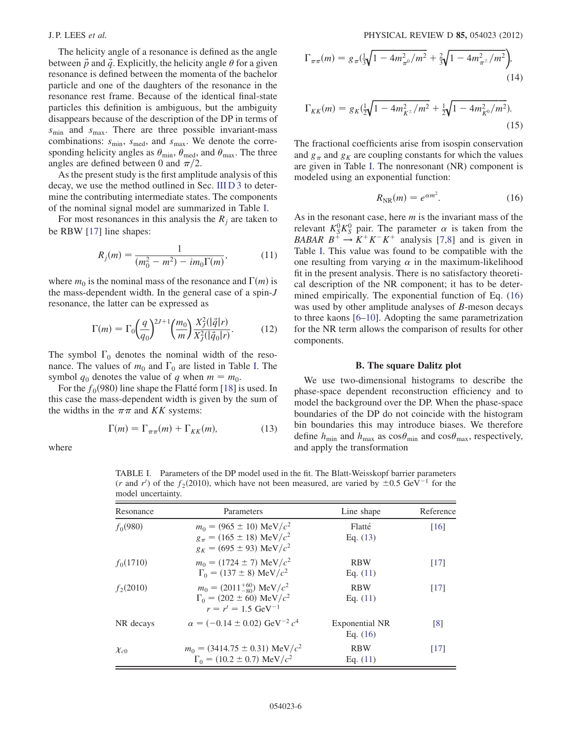The helicity angle of a resonance is defined as the angle between  $\vec{p}$  and  $\vec{q}$ . Explicitly, the helicity angle  $\theta$  for a given resonance is defined between the momenta of the bachelor particle and one of the daughters of the resonance in the resonance rest frame. Because of the identical final-state particles this definition is ambiguous, but the ambiguity disappears because of the description of the DP in terms of  $s_{\text{min}}$  and  $s_{\text{max}}$ . There are three possible invariant-mass combinations:  $s_{\text{min}}$ ,  $s_{\text{med}}$ , and  $s_{\text{max}}$ . We denote the corresponding helicity angles as  $\theta_{\min}$ ,  $\theta_{\text{med}}$ , and  $\theta_{\text{max}}$ . The three angles are defined between 0 and  $\pi/2$ .

As the present study is the first amplitude analysis of this decay, we use the method outlined in Sec. [III D 3](#page-8-0) to determine the contributing intermediate states. The components of the nominal signal model are summarized in Table [I](#page-5-1).

<span id="page-5-4"></span>For most resonances in this analysis the  $R_i$  are taken to be RBW [\[17\]](#page-20-14) line shapes:

$$
R_j(m) = \frac{1}{(m_0^2 - m^2) - im_0 \Gamma(m)},
$$
\n(11)

where  $m_0$  is the nominal mass of the resonance and  $\Gamma(m)$  is the mass-dependent width. In the general case of a spin-J resonance, the latter can be expressed as

$$
\Gamma(m) = \Gamma_0 \left(\frac{q}{q_0}\right)^{2J+1} \left(\frac{m_0}{m}\right) \frac{X_J^2(|\vec{q}|r)}{X_J^2(|\vec{q}_0|r)}.
$$
 (12)

The symbol  $\Gamma_0$  denotes the nominal width of the resonance. The values of  $m_0$  and  $\Gamma_0$  are listed in Table [I.](#page-5-1) The symbol  $q_0$  denotes the value of q when  $m = m_0$ .

<span id="page-5-3"></span>For the  $f_0(980)$  line shape the Flatte<sup> $\epsilon$ </sup> form [\[18\]](#page-20-15) is used. In this case the mass-dependent width is given by the sum of the widths in the  $\pi\pi$  and KK systems:

$$
\Gamma(m) = \Gamma_{\pi\pi}(m) + \Gamma_{KK}(m),\tag{13}
$$

where

$$
\Gamma_{\pi\pi}(m) = g_{\pi}(\frac{1}{3}\sqrt{1 - 4m_{\pi^0}^2/m^2} + \frac{2}{3}\sqrt{1 - 4m_{\pi^{\pm}}^2/m^2}),
$$
\n(14)

$$
\Gamma_{KK}(m) = g_K(\frac{1}{2}\sqrt{1 - 4m_{K^{\pm}}^2/m^2} + \frac{1}{2}\sqrt{1 - 4m_{K^0}^2/m^2}).
$$
\n(15)

<span id="page-5-2"></span>The fractional coefficients arise from isospin conservation and  $g_{\pi}$  and  $g_K$  are coupling constants for which the values are given in Table [I.](#page-5-1) The nonresonant (NR) component is modeled using an exponential function:

$$
R_{\rm NR}(m) = e^{\alpha m^2}.
$$
 (16)

As in the resonant case, here  $m$  is the invariant mass of the relevant  $K_S^0 K_S^0$  pair. The parameter  $\alpha$  is taken from the *BABAR*  $B^+ \rightarrow K^+ K^- K^+$  analysis [[7](#page-20-16),[8\]](#page-20-6) and is given in Table [I](#page-5-1). This value was found to be compatible with the one resulting from varying  $\alpha$  in the maximum-likelihood fit in the present analysis. There is no satisfactory theoretical description of the NR component; it has to be determined empirically. The exponential function of Eq. [\(16\)](#page-5-2) was used by other amplitude analyses of B-meson decays to three kaons [\[6](#page-20-5)–[10\]](#page-20-8). Adopting the same parametrization for the NR term allows the comparison of results for other components.

# B. The square Dalitz plot

<span id="page-5-0"></span>We use two-dimensional histograms to describe the phase-space dependent reconstruction efficiency and to model the background over the DP. When the phase-space boundaries of the DP do not coincide with the histogram bin boundaries this may introduce biases. We therefore define  $h_{\text{min}}$  and  $h_{\text{max}}$  as  $\cos\theta_{\text{min}}$  and  $\cos\theta_{\text{max}}$ , respectively, and apply the transformation

model uncertainty. Resonance **Parameters** Parameters Line shape Reference  $f_0(980)$   $m_0 = (965 \pm 10) \text{ MeV}/c^2$  Flatté [\[16\]](#page-20-17)<br> $g = (165 \pm 18) \text{ MeV}/c^2$  Fractice [16]  $g_{\pi} = (165 \pm 18) \text{ MeV}/c^2$  Eq. ([13](#page-5-3))<br>  $g_{\pi} = (695 + 93) \text{ MeV}/c^2$  $g_K = (695 \pm 93) \text{ MeV}/c^2$  $f_0(1710)$   $m_0 = (1724 \pm 7) \text{ MeV}/c^2$  RBW [\[17\]](#page-20-14)<br>  $F_0 = (137 \pm 8) \text{ MeV}/c^2$  Fo (11)  $\Gamma_0 = (137 \pm 8) \text{ MeV}/c^2$  Eq. ([11](#page-5-4))  $f_2(2010)$   $m_0 = (2011^{+60}_{-80}) \text{ MeV}/c^2$  RBW [\[17\]](#page-20-14)<br>  $\Gamma_1 = (202 + 60) \text{ MeV}/c^2$  Eq. (11)  $\Gamma_0 = (202 \pm 60) \text{ MeV}/c^2$  Eq. ([11](#page-5-4))<br>  $r = r' = 1.5 \text{ GeV}^{-1}$  $r = r' = 1.5$  GeV<sup>-1</sup> NR decays  $\alpha = (-0.14 \pm 0.02) \text{ GeV}^{-2} c^4$  Exponential NR [[8](#page-20-6)] Eq. ([16](#page-5-2))  $\chi_{c0}$   $m_0 = (3414.75 \pm 0.31) \text{ MeV}/c^2$  RBW [\[17\]](#page-20-14)<br> $\Gamma_{c} = (10.2 \pm 0.7) \text{ MeV}/c^2$  Eq. (11)  $\Gamma_0 = (10.2 \pm 0.7) \text{ MeV}/c^2$  Eq. ([11](#page-5-4))

<span id="page-5-1"></span>TABLE I. Parameters of the DP model used in the fit. The Blatt-Weisskopf barrier parameters (*r* and *r'*) of the  $f_2(2010)$ , which have not been measured, are varied by  $\pm 0.5 \text{ GeV}^{-1}$  for the model uncertainty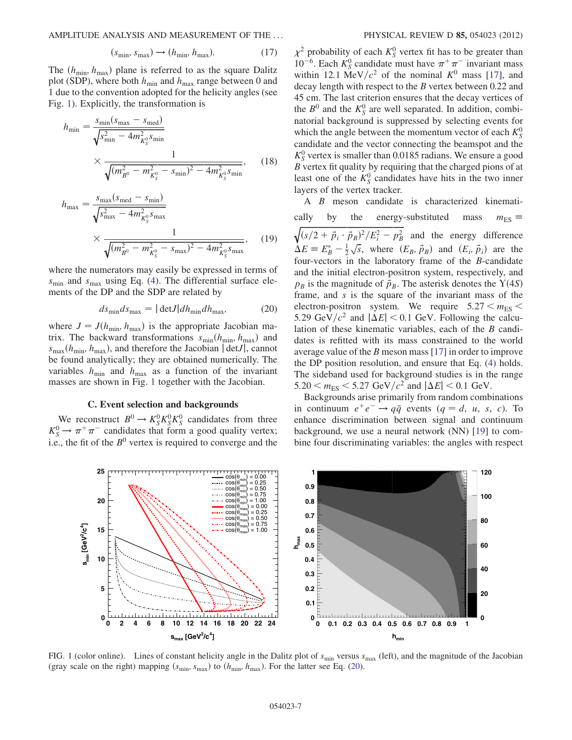AMPLITUDE ANALYSIS AND MEASUREMENT OF THE ... PHYSICAL REVIEW D 85, 054023 (2012)

$$
(s_{\min}, s_{\max}) \rightarrow (h_{\min}, h_{\max}). \tag{17}
$$

The  $(h_{\text{min}}, h_{\text{max}})$  plane is referred to as the square Dalitz plot (SDP), where both  $h_{\min}$  and  $h_{\max}$  range between 0 and 1 due to the convention adopted for the helicity angles (see Fig. [1\)](#page-6-1). Explicitly, the transformation is

$$
h_{\min} = \frac{s_{\min}(s_{\max} - s_{\text{med}})}{\sqrt{s_{\min}^2 - 4m_{K_S^0}^2 s_{\min}}}
$$
  
 
$$
\times \frac{1}{\sqrt{(m_{B^0}^2 - m_{K_S^0}^2 - s_{\min})^2 - 4m_{K_S^0}^2 s_{\min}}},
$$
 (18)

$$
h_{\max} = \frac{s_{\max}(s_{\text{med}} - s_{\min})}{\sqrt{s_{\max}^2 - 4m_{K_S^0}^2 s_{\max}}}
$$
  
 
$$
\times \frac{1}{\sqrt{(m_{B^0}^2 - m_{K_S^0}^2 - s_{\max})^2 - 4m_{K_S^0}^2 s_{\max}}},
$$
 (19)

where the numerators may easily be expressed in terms of  $s_{\text{min}}$  and  $s_{\text{max}}$  using Eq. [\(4](#page-4-3)). The differential surface elements of the DP and the SDP are related by

$$
ds_{\min} ds_{\max} = |\det J| dh_{\min} dh_{\max}, \tag{20}
$$

<span id="page-6-2"></span>where  $J = J(h_{\text{min}}, h_{\text{max}})$  is the appropriate Jacobian matrix. The backward transformations  $s_{\min}(h_{\min}, h_{\max})$  and  $s_{\text{max}}(h_{\text{min}}, h_{\text{max}})$ , and therefore the Jacobian  $|\det J|$ , cannot be found analytically; they are obtained numerically. The variables  $h_{\min}$  and  $h_{\max}$  as a function of the invariant masses are shown in Fig. [1](#page-6-1) together with the Jacobian.

# C. Event selection and backgrounds

<span id="page-6-0"></span>We reconstruct  $B^0 \to K_S^0 K_S^0 K_S^0$  candidates from three<br> $B \to \pi^+ \pi^-$  candidates that form a good quality vertex:  $K_S^0 \rightarrow \pi^+ \pi^-$  candidates that form a good quality vertex;<br>i.e. the fit of the  $R^0$  vertex is required to converge and the i.e., the fit of the  $B^0$  vertex is required to converge and the

 $\chi^2$  probability of each  $K_S^0$  vertex fit has to be greater than  $10^{-6}$ . Each  $K_S^0$  candidate must have  $\pi^+ \pi^-$  invariant mass within 12.1 MeV/ $c^2$  of the nominal  $K^0$  mass [[17](#page-20-14)], and decay length with respect to the B vertex between 0.22 and 45 cm. The last criterion ensures that the decay vertices of the  $B^0$  and the  $K_S^0$  are well separated. In addition, combinatorial background is suppressed by selecting events for which the angle between the momentum vector of each  $K_S^0$ candidate and the vector connecting the beamspot and the  $K_S^0$  vertex is smaller than 0.0185 radians. We ensure a good B vertex fit quality by requiring that the charged pions of at least one of the  $K_S^0$  candidates have hits in the two inner layers of the vertex tracker.

A B meson candidate is characterized kinematically by the energy-substituted mass  $m_{ES} \equiv \sqrt{(s/2 + \vec{p} + \vec{r} + \vec{r})^2/F^2 - n^2}$  and the energy difference  $\sqrt{(s/2 + \vec{p}_i \cdot \vec{p}_B)^2/E_i^2 - p_B^2}$  and the energy difference  $\Delta E \equiv E_B^* - \frac{1}{2} \sqrt{s}$ , where  $(E_B, \vec{p}_B)$  and  $(E_i, \vec{p}_i)$  are the four vectors in the laboratory frame of the B condidate four-vectors in the laboratory frame of the B-candidate and the initial electron-positron system, respectively, and  $p_B$  is the magnitude of  $\vec{p}_B$ . The asterisk denotes the  $\Upsilon(4S)$ <br>frame and s is the square of the invariant mass of the frame, and s is the square of the invariant mass of the electron-positron system. We require  $5.27 < m_{ES}$ 5.29 GeV/ $c^2$  and  $|\Delta E|$  < 0.1 GeV. Following the calculation of these kinematic variables, each of the B candidates is refitted with its mass constrained to the world average value of the B meson mass [[17](#page-20-14)] in order to improve the DP position resolution, and ensure that Eq. ([4\)](#page-4-3) holds. The sideband used for background studies is in the range  $5.20 < m_{ES} < 5.27$  GeV/ $c^2$  and  $|\Delta E| < 0.1$  GeV.

Backgrounds arise primarily from random combinations in continuum  $e^+e^- \rightarrow q\bar{q}$  events  $(q = d, u, s, c)$ . To enhance discrimination between signal and continuum background, we use a neural network (NN) [\[19\]](#page-20-18) to combine four discriminating variables: the angles with respect

<span id="page-6-1"></span>

FIG. 1 (color online). Lines of constant helicity angle in the Dalitz plot of  $s_{min}$  versus  $s_{max}$  (left), and the magnitude of the Jacobian (gray scale on the right) mapping  $(s_{min}, s_{max})$  to  $(h_{min}, h_{max})$ . For the latter see Eq. ([20](#page-6-2)).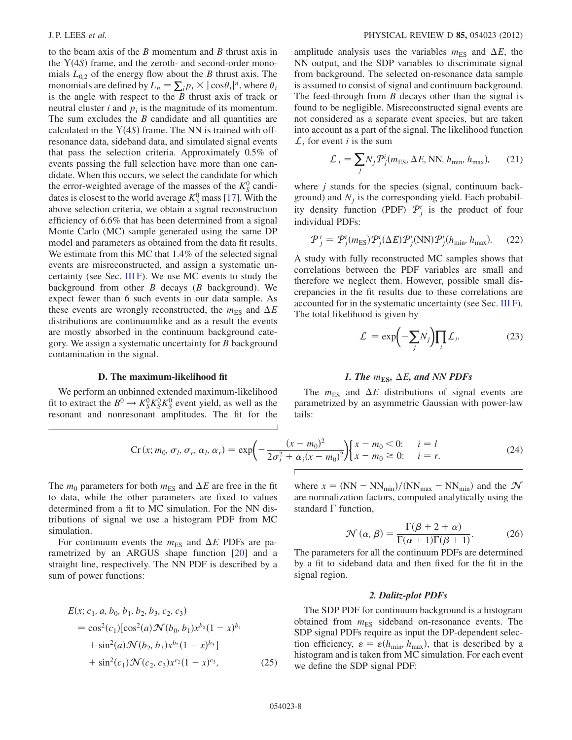to the beam axis of the  $B$  momentum and  $B$  thrust axis in the  $Y(4S)$  frame, and the zeroth- and second-order mono-<br>mials  $I_{\alpha\alpha}$  of the energy flow about the R thrust axis. The mials  $L_{0,2}$  of the energy flow about the B thrust axis. The monomials are defined by  $L_n = \sum_i p_i \times |\cos \theta_i|^n$ , where  $\theta_i$  is the angle with respect to the *R* thrust axis of track or is the angle with respect to the  $B$  thrust axis of track or neutral cluster *i* and  $p_i$  is the magnitude of its momentum. The sum excludes the  $B$  candidate and all quantities are calculated in the  $Y(4S)$  frame. The NN is trained with off-<br>resonance data, sideband data, and simulated signal events resonance data, sideband data, and simulated signal events that pass the selection criteria. Approximately 0.5% of events passing the full selection have more than one candidate. When this occurs, we select the candidate for which the error-weighted average of the masses of the  $K_S^0$  candidates is closest to the world average  $K_S^0$  mass [[17](#page-20-14)]. With the above selection criteria, we obtain a signal reconstruction efficiency of 6.6% that has been determined from a signal Monte Carlo (MC) sample generated using the same DP model and parameters as obtained from the data fit results. We estimate from this MC that 1.4% of the selected signal events are misreconstructed, and assign a systematic uncertainty (see Sec. [III F\)](#page-12-0). We use MC events to study the background from other  $B$  decays ( $B$  background). We expect fewer than 6 such events in our data sample. As these events are wrongly reconstructed, the  $m_{ES}$  and  $\Delta E$ distributions are continuumlike and as a result the events are mostly absorbed in the continuum background category. We assign a systematic uncertainty for B background contamination in the signal.

#### D. The maximum-likelihood fit

<span id="page-7-1"></span><span id="page-7-0"></span>We perform an unbinned extended maximum-likelihood fit to extract the  $B^0 \to K_S^0 K_S^0 K_S^0$  event yield, as well as the resonant and nonresonant amplitudes. The fit for the resonant and nonresonant amplitudes. The fit for the amplitude analysis uses the variables  $m_{ES}$  and  $\Delta E$ , the NN output, and the SDP variables to discriminate signal from background. The selected on-resonance data sample is assumed to consist of signal and continuum background. The feed-through from  $B$  decays other than the signal is found to be negligible. Misreconstructed signal events are not considered as a separate event species, but are taken into account as a part of the signal. The likelihood function  $\mathcal{L}_i$  for event *i* is the sum

$$
\mathcal{L}_i = \sum_j N_j \mathcal{P}_j^i(m_{\text{ES}}, \Delta E, \text{NN}, h_{\text{min}}, h_{\text{max}}), \qquad (21)
$$

where  $j$  stands for the species (signal, continuum background) and  $N_i$  is the corresponding yield. Each probability density function (PDF)  $\mathcal{P}_j^i$  is the product of four individual PDFs:

$$
P_j^i = P_j^i(m_{\text{ES}}) P_j^i(\Delta E) P_j^i(\text{NN}) P_j^i(h_{\text{min}}, h_{\text{max}}).
$$
 (22)

A study with fully reconstructed MC samples shows that correlations between the PDF variables are small and therefore we neglect them. However, possible small discrepancies in the fit results due to these correlations are accounted for in the systematic uncertainty (see Sec. [III F\)](#page-12-0). The total likelihood is given by

$$
\mathcal{L} = \exp\left(-\sum_{j} N_{j}\right) \prod_{i} \mathcal{L}_{i}.
$$
 (23)

# 1. The  $m_{ES}$ ,  $\Delta E$ , and NN PDFs

The  $m_{ES}$  and  $\Delta E$  distributions of signal events are parametrized by an asymmetric Gaussian with power-law tails:

$$
\operatorname{Cr}(x; m_0, \sigma_l, \sigma_r, \alpha_l, \alpha_r) = \exp\left(-\frac{(x - m_0)^2}{2\sigma_i^2 + \alpha_i(x - m_0)^2}\right) \begin{cases} x - m_0 < 0; \quad i = l \\ x - m_0 \ge 0; \quad i = r. \end{cases} \tag{24}
$$

The  $m_0$  parameters for both  $m_{ES}$  and  $\Delta E$  are free in the fit to data, while the other parameters are fixed to values determined from a fit to MC simulation. For the NN distributions of signal we use a histogram PDF from MC simulation.

For continuum events the  $m_{ES}$  and  $\Delta E$  PDFs are parametrized by an ARGUS shape function [\[20\]](#page-20-19) and a straight line, respectively. The NN PDF is described by a sum of power functions:

<span id="page-7-2"></span>
$$
E(x; c_1, a, b_0, b_1, b_2, b_3, c_2, c_3)
$$
  
=  $\cos^2(c_1)[\cos^2(a)\mathcal{N}(b_0, b_1)x^{b_0}(1-x)^{b_1}$   
+  $\sin^2(a)\mathcal{N}(b_2, b_3)x^{b_2}(1-x)^{b_3}]$   
+  $\sin^2(c_1)\mathcal{N}(c_2, c_3)x^{c_2}(1-x)^{c_3}$ , (25)

where  $x = (NN - NN_{min})/(NN_{max} - NN_{min})$  and the  $\mathcal{N}$ are normalization factors, computed analytically using the standard  $\Gamma$  function,

$$
\mathcal{N}(\alpha, \beta) = \frac{\Gamma(\beta + 2 + \alpha)}{\Gamma(\alpha + 1)\Gamma(\beta + 1)}.
$$
 (26)

The parameters for all the continuum PDFs are determined by a fit to sideband data and then fixed for the fit in the signal region.

# 2. Dalitz-plot PDFs

The SDP PDF for continuum background is a histogram obtained from  $m_{ES}$  sideband on-resonance events. The SDP signal PDFs require as input the DP-dependent selection efficiency,  $\varepsilon = \varepsilon(h_{\min}, h_{\max})$ , that is described by a histogram and is taken from MC simulation. For each event we define the SDP signal PDF: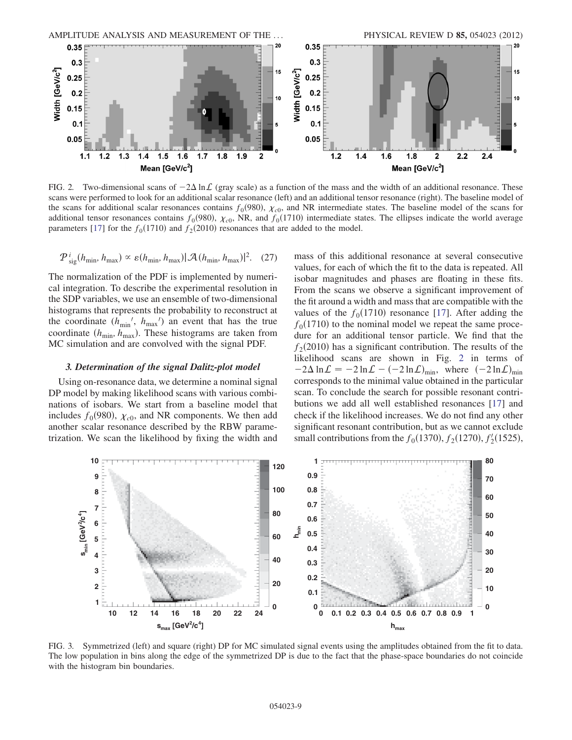<span id="page-8-1"></span>

FIG. 2. Two-dimensional scans of  $-2\Delta \ln \mathcal{L}$  (gray scale) as a function of the mass and the width of an additional resonance. These scans were performed to look for an additional scalar resonance (left) and an additional tensor resonance (right). The baseline model of the scans for additional scalar resonances contains  $f_0(980)$ ,  $\chi_{c0}$ , and NR intermediate states. The baseline model of the scans for additional tensor resonances contains  $f_0(980)$ ,  $\chi_{c0}$ , NR, and  $f_0(1710)$  intermediate states. The ellipses indicate the world average parameters [[17](#page-20-14)] for the  $f_0(1710)$  and  $f_2(2010)$  resonances that are added to the model.

$$
P_{\text{sig}}^{i}(h_{\min}, h_{\max}) \propto \varepsilon(h_{\min}, h_{\max}) |\mathcal{A}(h_{\min}, h_{\max})|^{2}. \quad (27)
$$

The normalization of the PDF is implemented by numerical integration. To describe the experimental resolution in the SDP variables, we use an ensemble of two-dimensional histograms that represents the probability to reconstruct at the coordinate  $(h_{\min}, h_{\max})$  an event that has the true coordinate  $(h_{\min}, h_{\max})$ . These histograms are taken from MC simulation and are convolved with the signal PDF.

#### <span id="page-8-0"></span>3. Determination of the signal Dalitz-plot model

Using on-resonance data, we determine a nominal signal DP model by making likelihood scans with various combinations of isobars. We start from a baseline model that includes  $f_0(980)$ ,  $\chi_{c0}$ , and NR components. We then add another scalar resonance described by the RBW parametrization. We scan the likelihood by fixing the width and mass of this additional resonance at several consecutive values, for each of which the fit to the data is repeated. All isobar magnitudes and phases are floating in these fits. From the scans we observe a significant improvement of the fit around a width and mass that are compatible with the values of the  $f_0(1710)$  resonance [\[17\]](#page-20-14). After adding the  $f<sub>0</sub>(1710)$  to the nominal model we repeat the same procedure for an additional tensor particle. We find that the  $f_2(2010)$  has a significant contribution. The results of the likelihood scans are shown in Fig. [2](#page-8-1) in terms of  $-2\Delta \ln \mathcal{L} = -2 \ln \mathcal{L} - (-2 \ln \mathcal{L})_{\text{min}}$ , where  $(-2 \ln \mathcal{L})_{\text{min}}$ corresponds to the minimal value obtained in the particular scan. To conclude the search for possible resonant contributions we add all well established resonances [[17](#page-20-14)] and check if the likelihood increases. We do not find any other significant resonant contribution, but as we cannot exclude small contributions from the  $f_0(1370)$ ,  $f_2(1270)$ ,  $f_2'(1525)$ ,

<span id="page-8-2"></span>

FIG. 3. Symmetrized (left) and square (right) DP for MC simulated signal events using the amplitudes obtained from the fit to data. The low population in bins along the edge of the symmetrized DP is due to the fact that the phase-space boundaries do not coincide with the histogram bin boundaries.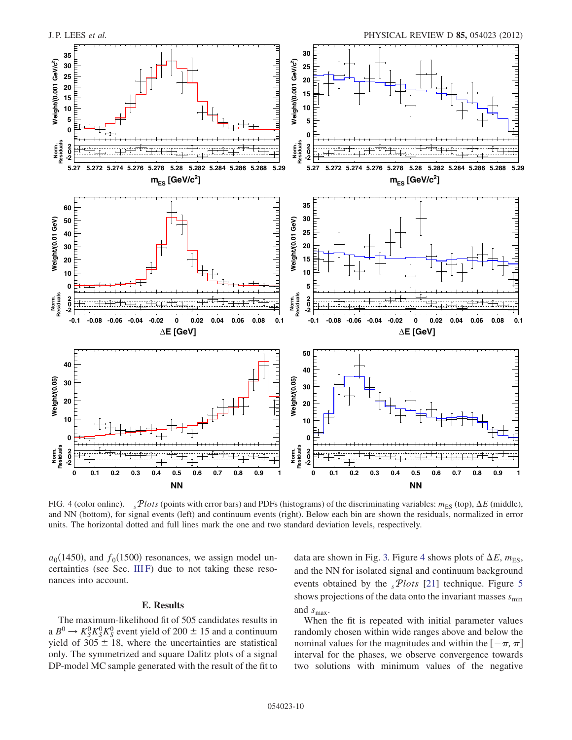<span id="page-9-1"></span>

FIG. 4 (color online).  $sPlots$  (points with error bars) and PDFs (histograms) of the discriminating variables:  $m_{ES}$  (top),  $\Delta E$  (middle), and NN (bottom), for signal events (left) and continuum events (right). Below each bin are shown the residuals, normalized in error units. The horizontal dotted and full lines mark the one and two standard deviation levels, respectively.

 $a_0(1450)$ , and  $f_0(1500)$  resonances, we assign model uncertainties (see Sec. [III F](#page-12-0)) due to not taking these resonances into account.

# E. Results

<span id="page-9-0"></span>The maximum-likelihood fit of 505 candidates results in a  $B^0 \to K_S^0 K_S^0 K_S^0$  event yield of 200  $\pm$  15 and a continuum<br>vield of 305 + 18, where the uncertainties are statistical yield of  $305 \pm 18$ , where the uncertainties are statistical only The symmetrized and square Dalitz plots of a signal only. The symmetrized and square Dalitz plots of a signal DP-model MC sample generated with the result of the fit to data are shown in Fig. [3.](#page-8-2) Figure [4](#page-9-1) shows plots of  $\Delta E$ ,  $m_{ES}$ , and the NN for isolated signal and continuum background events obtained by the  $sPlots$  [\[21\]](#page-20-20) technique. Figure [5](#page-10-0) shows projections of the data onto the invariant masses  $s_{\min}$ and  $s_{\text{max}}$ .

When the fit is repeated with initial parameter values randomly chosen within wide ranges above and below the nominal values for the magnitudes and within the  $[-\pi, \pi]$ interval for the phases, we observe convergence towards two solutions with minimum values of the negative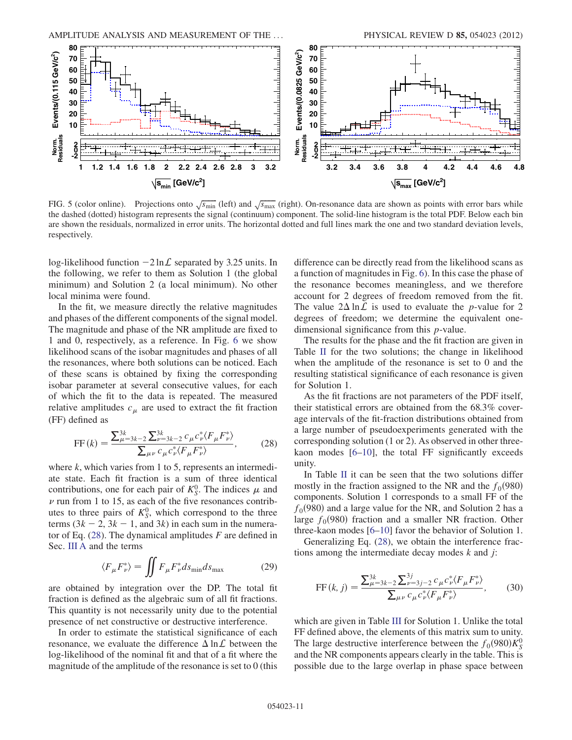<span id="page-10-0"></span>

FIG. 5 (color online). Projections onto  $\sqrt{s_{\text{min}}}$  (left) and  $\sqrt{s_{\text{max}}}$  (right). On-resonance data are shown as points with error bars while the dashed (dotted) histogram represents the signal (continuum) component. The solid-line histogram is the total PDF. Below each bin are shown the residuals, normalized in error units. The horizontal dotted and full lines mark the one and two standard deviation levels, respectively.

log-likelihood function  $-2 \ln \mathcal{L}$  separated by 3.25 units. In the following, we refer to them as Solution 1 (the global minimum) and Solution 2 (a local minimum). No other local minima were found.

In the fit, we measure directly the relative magnitudes and phases of the different components of the signal model. The magnitude and phase of the NR amplitude are fixed to 1 and 0, respectively, as a reference. In Fig. [6](#page-11-0) we show likelihood scans of the isobar magnitudes and phases of all the resonances, where both solutions can be noticed. Each of these scans is obtained by fixing the corresponding isobar parameter at several consecutive values, for each of which the fit to the data is repeated. The measured relative amplitudes  $c<sub>\mu</sub>$  are used to extract the fit fraction (FF) defined as

<span id="page-10-1"></span>
$$
FF(k) = \frac{\sum_{\mu=3k-2}^{3k} \sum_{\nu=3k-2}^{3k} c_{\mu} c_{\nu}^{*} \langle F_{\mu} F_{\nu}^{*} \rangle}{\sum_{\mu \nu} c_{\mu} c_{\nu}^{*} \langle F_{\mu} F_{\nu}^{*} \rangle}, \qquad (28)
$$

where  $k$ , which varies from 1 to 5, represents an intermediate state. Each fit fraction is a sum of three identical contributions, one for each pair of  $K_S^0$ . The indices  $\mu$  and  $\nu$  run from 1 to 15, as each of the five resonances contributes to three pairs of  $K_S^0$ , which correspond to the three terms  $(3k - 2, 3k - 1,$  and 3k) in each sum in the numerator of Eq.  $(28)$  $(28)$  $(28)$ . The dynamical amplitudes F are defined in Sec. [III A](#page-4-0) and the terms

$$
\langle F_{\mu} F_{\nu}^* \rangle = \iint F_{\mu} F_{\nu}^* ds_{\text{min}} ds_{\text{max}} \tag{29}
$$

are obtained by integration over the DP. The total fit fraction is defined as the algebraic sum of all fit fractions. This quantity is not necessarily unity due to the potential presence of net constructive or destructive interference.

In order to estimate the statistical significance of each resonance, we evaluate the difference  $\Delta \ln \mathcal{L}$  between the log-likelihood of the nominal fit and that of a fit where the magnitude of the amplitude of the resonance is set to 0 (this difference can be directly read from the likelihood scans as a function of magnitudes in Fig. [6](#page-11-0)). In this case the phase of the resonance becomes meaningless, and we therefore account for 2 degrees of freedom removed from the fit. The value  $2\Delta \ln \mathcal{L}$  is used to evaluate the *p*-value for 2 degrees of freedom; we determine the equivalent onedimensional significance from this p-value.

The results for the phase and the fit fraction are given in Table [II](#page-12-1) for the two solutions; the change in likelihood when the amplitude of the resonance is set to 0 and the resulting statistical significance of each resonance is given for Solution 1.

As the fit fractions are not parameters of the PDF itself, their statistical errors are obtained from the 68.3% coverage intervals of the fit-fraction distributions obtained from a large number of pseudoexperiments generated with the corresponding solution (1 or 2). As observed in other threekaon modes [\[6](#page-20-5)–[10](#page-20-8)], the total FF significantly exceeds unity.

In Table [II](#page-12-1) it can be seen that the two solutions differ mostly in the fraction assigned to the NR and the  $f_0(980)$ components. Solution 1 corresponds to a small FF of the  $f_0(980)$  and a large value for the NR, and Solution 2 has a large  $f_0(980)$  fraction and a smaller NR fraction. Other three-kaon modes [\[6](#page-20-5)[–10\]](#page-20-8) favor the behavior of Solution 1.

Generalizing Eq. ([28\)](#page-10-1), we obtain the interference fractions among the intermediate decay modes  $k$  and  $j$ :

$$
FF(k, j) = \frac{\sum_{\mu=3k-2}^{3k} \sum_{\nu=3j-2}^{3j} c_{\mu} c_{\nu}^{*} \langle F_{\mu} F_{\nu}^{*} \rangle}{\sum_{\mu \nu} c_{\mu} c_{\nu}^{*} \langle F_{\mu} F_{\nu}^{*} \rangle}, \qquad (30)
$$

which are given in Table [III](#page-12-2) for Solution 1. Unlike the total FF defined above, the elements of this matrix sum to unity. The large destructive interference between the  $f_0(980)K_S^0$ <br>and the NR components appears clearly in the table. This is and the NR components appears clearly in the table. This is possible due to the large overlap in phase space between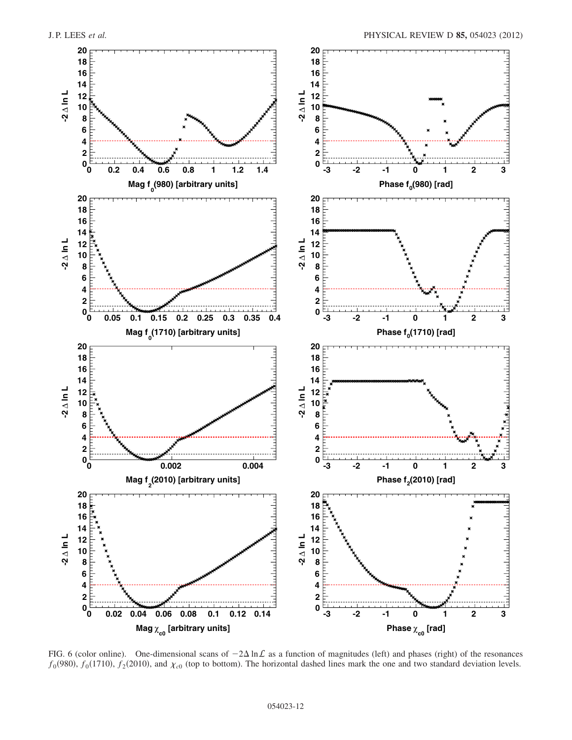<span id="page-11-0"></span>

FIG. 6 (color online). One-dimensional scans of  $-2\Delta \ln \mathcal{L}$  as a function of magnitudes (left) and phases (right) of the resonances  $f_0(980)$ ,  $f_0(1710)$ ,  $f_2(2010)$ , and  $\chi_{c0}$  (top to bottom). The horizontal dashed lines mark the one and two standard deviation levels.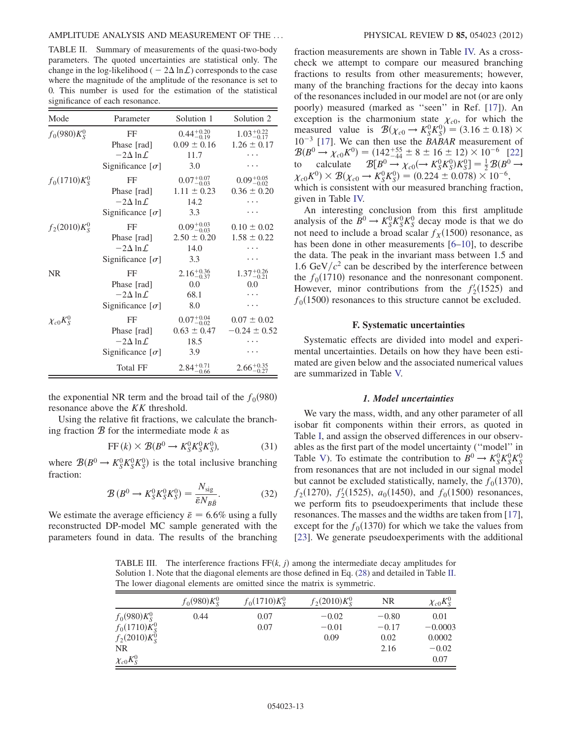<span id="page-12-1"></span>TABLE II. Summary of measurements of the quasi-two-body parameters. The quoted uncertainties are statistical only. The change in the log-likelihood (  $-2\Delta \ln \mathcal{L}$ ) corresponds to the case where the magnitude of the amplitude of the resonance is set to 0. This number is used for the estimation of the statistical significance of each resonance.

| Mode             | Parameter                                                                  | Solution 1                                               | Solution 2                                |
|------------------|----------------------------------------------------------------------------|----------------------------------------------------------|-------------------------------------------|
| $f_0(980)K_s^0$  | FF<br>Phase [rad]<br>$-2\Delta \ln \mathcal{L}$<br>Significance $[\sigma]$ | $0.44^{+0.20}_{-0.19}$<br>$0.09 \pm 0.16$<br>11.7<br>3.0 | $1.03_{-0.17}^{+0.22}$<br>$1.26 \pm 0.17$ |
| $f_0(1710)K_S^0$ | FF<br>Phase [rad]<br>$-2\Delta \ln \mathcal{L}$<br>Significance $[\sigma]$ | $0.07^{+0.07}_{-0.03}$<br>$1.11 \pm 0.23$<br>14.2<br>3.3 | $0.09_{-0.02}^{+0.05}$<br>$0.36 \pm 0.20$ |
| $f_2(2010)K_S^0$ | FF<br>Phase [rad]<br>$-2\Delta \ln \mathcal{L}$<br>Significance $[\sigma]$ | $0.09^{+0.03}_{-0.03}$<br>$2.50 \pm 0.20$<br>14.0<br>3.3 | $0.10 \pm 0.02$<br>$1.58 \pm 0.22$        |
| <b>NR</b>        | FF<br>Phase [rad]<br>$-2\Delta \ln \mathcal{L}$<br>Significance $[\sigma]$ | 2.16 <sup>+0.36</sup><br>0.0<br>68.1<br>8.0              | $1.37^{+0.26}_{-0.21}$<br>0.0             |
| $\chi_{c0}K^0_S$ | FF<br>Phase [rad]<br>$-2\Delta \ln \mathcal{L}$<br>Significance $[\sigma]$ | $0.07^{+0.04}_{-0.02}$<br>$0.63 \pm 0.47$<br>18.5<br>3.9 | $0.07 \pm 0.02$<br>$-0.24 \pm 0.52$       |
|                  | Total FF                                                                   | $2.84^{+0.71}_{-0.66}$                                   | $2.66^{+0.35}_{-0.27}$                    |

the exponential NR term and the broad tail of the  $f_0(980)$ resonance above the KK threshold.

Using the relative fit fractions, we calculate the branching fraction  $B$  for the intermediate mode  $k$  as

$$
FF(k) \times \mathcal{B}(B^0 \to K_S^0 K_S^0 K_S^0), \tag{31}
$$

where  $\mathcal{B}(B^0 \to K_S^0 K_S^0 K_S^0)$  is the total inclusive branching fraction: fraction:

$$
\mathcal{B}(B^0 \to K_S^0 K_S^0 K_S^0) = \frac{N_{\text{sig}}}{\bar{\varepsilon} N_{B\bar{B}}}.
$$
 (32)

We estimate the average efficiency  $\bar{\varepsilon} = 6.6\%$  using a fully reconstructed DP-model MC sample generated with the parameters found in data. The results of the branching fraction measurements are shown in Table [IV.](#page-13-1) As a crosscheck we attempt to compare our measured branching fractions to results from other measurements; however, many of the branching fractions for the decay into kaons of the resonances included in our model are not (or are only poorly) measured (marked as ''seen'' in Ref. [[17](#page-20-14)]). An exception is the charmonium state  $\chi_{c0}$ , for which the measured value is  $\mathcal{B}(\chi_{c0} \to K_S^0 K_S^0) = (3.16 \pm 0.18) \times 10^{-3}$  [17]. We can then use the *RARAR* measurement of  $10^{-3}$  [\[17](#page-20-14)]. We can then use the *BABAR* measurement of  $\mathcal{B}(B^0 \to \chi_{c0} K^0) = (142^{+55}_{-44} \pm 8 \pm 16 \pm 12) \times 10^{-6}$  [\[22\]](#page-20-21)<br>to calculate  $\mathcal{B}(B^0 \to \chi_c (\to K^0 K^0) K^0) = \frac{1}{2} \mathcal{B}(B^0 \to$ to calculate  $\mathcal{B}[B^0 \to \chi_{c0} (\to K_S^0 K_S^0) K_S^0] = \frac{1}{2} \mathcal{B}(B^0 \to \chi_c K^0) \times \mathcal{B}(\chi_c \to K^0 K^0) = (0, 224 + 0.078) \times 10^{-6}$  $\chi_{c0}K^0 \times \mathcal{B}(\chi_{c0} \to K_S^0 K_S^0) = (0.224 \pm 0.078) \times 10^{-6}$ ,<br>which is consistent with our measured branching fracti which is consistent with our measured branching fraction, given in Table [IV.](#page-13-1)

An interesting conclusion from this first amplitude analysis of the  $B^0 \to K_S^0 K_S^0 K_S^0$  decay mode is that we do<br>not need to include a broad scalar  $f_{\rm g}/(1500)$  resonance as not need to include a broad scalar  $f<sub>X</sub>(1500)$  resonance, as has been done in other measurements [[6](#page-20-5)[–10\]](#page-20-8), to describe the data. The peak in the invariant mass between 1.5 and 1.6 GeV/ $c^2$  can be described by the interference between the  $f_0(1710)$  resonance and the nonresonant component. However, minor contributions from the  $f'_2(1525)$  and  $f_2(1500)$  resonances to this structure cannot be excluded  $f<sub>0</sub>(1500)$  resonances to this structure cannot be excluded.

#### F. Systematic uncertainties

<span id="page-12-0"></span>Systematic effects are divided into model and experimental uncertainties. Details on how they have been estimated are given below and the associated numerical values are summarized in Table [V.](#page-13-2)

#### 1. Model uncertainties

We vary the mass, width, and any other parameter of all isobar fit components within their errors, as quoted in Table [I](#page-5-1), and assign the observed differences in our observables as the first part of the model uncertainty (''model'' in Table [V\)](#page-13-2). To estimate the contribution to  $B^0 \to K_S^0 K_S^0 K_S^0$ <br>from resonances that are not included in our signal model from resonances that are not included in our signal model but cannot be excluded statistically, namely, the  $f_0(1370)$ ,  $f_2(1270)$ ,  $f_2'(1525)$ ,  $a_0(1450)$ , and  $f_0(1500)$  resonances,<br>we perform fits to pseudoexperiments that include these we perform fits to pseudoexperiments that include these resonances. The masses and the widths are taken from [[17\]](#page-20-14), except for the  $f_0(1370)$  for which we take the values from [\[23\]](#page-20-22). We generate pseudoexperiments with the additional

<span id="page-12-2"></span>TABLE III. The interference fractions  $FF(k, j)$  among the intermediate decay amplitudes for Solution 1. Note that the diagonal elements are those defined in Eq. ([28](#page-10-1)) and detailed in Table [II.](#page-12-1) The lower diagonal elements are omitted since the matrix is symmetric.

|                                                                                   | $f_0(980)K_S^0$ | $f_0(1710)K_S^0$ | $f_2(2010)K_s^0$           | NR                                 | $\chi_{c0}K_S^0$                               |
|-----------------------------------------------------------------------------------|-----------------|------------------|----------------------------|------------------------------------|------------------------------------------------|
| $f_0(980)K_S^0$<br>$f_0(1710)K_S^0$<br>$f_2(2010)K_S^0$<br>NR<br>$\chi_{c0}K^0_S$ | 0.44            | 0.07<br>0.07     | $-0.02$<br>$-0.01$<br>0.09 | $-0.80$<br>$-0.17$<br>0.02<br>2.16 | 0.01<br>$-0.0003$<br>0.0002<br>$-0.02$<br>0.07 |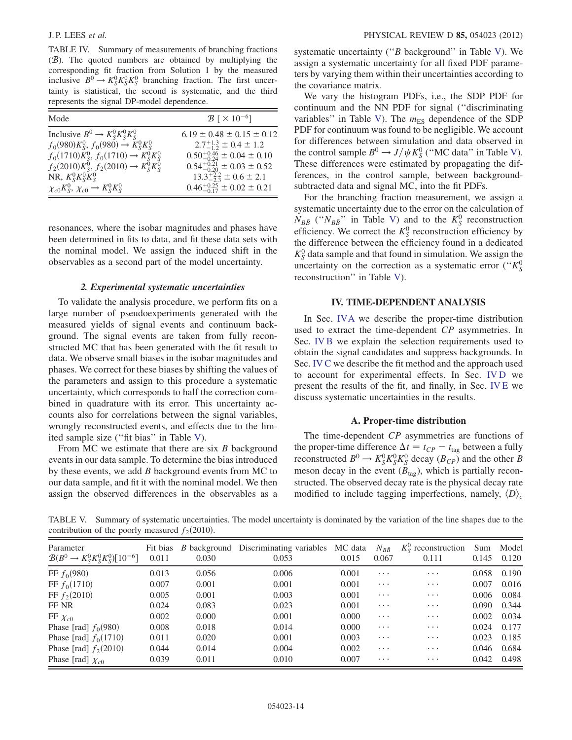<span id="page-13-1"></span>TABLE IV. Summary of measurements of branching fractions (B). The quoted numbers are obtained by multiplying the corresponding fit fraction from Solution 1 by the measured inclusive  $B^0 \to K_S^0 K_S^0 K_S^0$  branching fraction. The first uncer-<br>tainty is statistical the second is systematic, and the third tainty is statistical, the second is systematic, and the third represents the signal DP-model dependence.

| Mode                                                   | $\mathcal{B}$ [ $\times$ 10 <sup>-6</sup> ] |
|--------------------------------------------------------|---------------------------------------------|
| Inclusive $B^0 \to K_S^0 K_S^0 K_S^0$                  | $6.19 \pm 0.48 \pm 0.15 \pm 0.12$           |
| $f_0(980)K_S^0$ , $f_0(980) \rightarrow K_S^0 K_S^0$   | $2.7^{+1.3}_{-1.2} \pm 0.4 \pm 1.2$         |
| $f_0(1710)K_S^0$ , $f_0(1710) \rightarrow K_S^0 K_S^0$ | $0.50^{+0.46}_{-0.24} \pm 0.04 \pm 0.10$    |
| $f_2(2010)K_S^0$ , $f_2(2010) \rightarrow K_S^0 K_S^0$ | $0.54^{+0.21}_{-0.20} \pm 0.03 \pm 0.52$    |
| NR, $K_S^0 K_S^0 K_S^0$                                | $13.3^{+2.2}_{-2.3} \pm 0.6 \pm 2.1$        |
| $\chi_{c0}K_S^0$ , $\chi_{c0} \rightarrow K_S^0 K_S^0$ | $0.46^{+0.25}_{-0.17} \pm 0.02 \pm 0.21$    |

resonances, where the isobar magnitudes and phases have been determined in fits to data, and fit these data sets with the nominal model. We assign the induced shift in the observables as a second part of the model uncertainty.

# 2. Experimental systematic uncertainties

To validate the analysis procedure, we perform fits on a large number of pseudoexperiments generated with the measured yields of signal events and continuum background. The signal events are taken from fully reconstructed MC that has been generated with the fit result to data. We observe small biases in the isobar magnitudes and phases. We correct for these biases by shifting the values of the parameters and assign to this procedure a systematic uncertainty, which corresponds to half the correction combined in quadrature with its error. This uncertainty accounts also for correlations between the signal variables, wrongly reconstructed events, and effects due to the limited sample size (''fit bias'' in Table [V](#page-13-2)).

From MC we estimate that there are six B background events in our data sample. To determine the bias introduced by these events, we add  $B$  background events from MC to our data sample, and fit it with the nominal model. We then assign the observed differences in the observables as a systematic uncertainty ("B background" in Table [V\)](#page-13-2). We assign a systematic uncertainty for all fixed PDF parameters by varying them within their uncertainties according to the covariance matrix.

We vary the histogram PDFs, i.e., the SDP PDF for continuum and the NN PDF for signal (''discriminating variables" in Table [V\)](#page-13-2). The  $m_{ES}$  dependence of the SDP PDF for continuum was found to be negligible. We account for differences between simulation and data observed in the control sample  $B^0 \to J/\psi K_S^0$  ("MC data" in Table [V\)](#page-13-2).<br>These differences were estimated by propagating the dif-These differences were estimated by propagating the differences, in the control sample, between backgroundsubtracted data and signal MC, into the fit PDFs.

For the branching fraction measurement, we assign a systematic uncertainty due to the error on the calculation of  $N_{B\bar{B}}$  (" $N_{B\bar{B}}$ " in Table [V](#page-13-2)) and to the  $K_S^0$  reconstruction efficiency. We correct the  $K_S^0$  reconstruction efficiency by the difference between the efficiency found in a dedicated  $K_S^0$  data sample and that found in simulation. We assign the uncertainty on the correction as a systematic error (" $K_S^0$ reconstruction'' in Table [V](#page-13-2)).

# IV. TIME-DEPENDENT ANALYSIS

<span id="page-13-0"></span>In Sec. [IVA](#page-13-3) we describe the proper-time distribution used to extract the time-dependent CP asymmetries. In Sec. [IV B](#page-14-1) we explain the selection requirements used to obtain the signal candidates and suppress backgrounds. In Sec. [IV C](#page-15-0) we describe the fit method and the approach used to account for experimental effects. In Sec. [IV D](#page-15-1) we present the results of the fit, and finally, in Sec. [IV E](#page-17-0) we discuss systematic uncertainties in the results.

#### A. Proper-time distribution

<span id="page-13-3"></span>The time-dependent CP asymmetries are functions of the proper-time difference  $\Delta t = t_{CP} - t_{tag}$  between a fully reconstructed  $B^0 \to K_S^0 K_S^0 K_S^0$  decay  $(B_{CP})$  and the other B<br>meson decay in the event  $(B_+)$  which is partially reconmeson decay in the event  $(B<sub>tag</sub>)$ , which is partially reconstructed. The observed decay rate is the physical decay rate modified to include tagging imperfections, namely,  $\langle D \rangle_c$ 

<span id="page-13-2"></span>TABLE V. Summary of systematic uncertainties. The model uncertainty is dominated by the variation of the line shapes due to the contribution of the poorly measured  $f_2(2010)$ .

| Parameter<br>$\mathcal{B}(B^0 \to K_S^0 K_S^0 K_S^0)[10^{-6}]$ | Fit bias<br>0.011 | 0.030 | B background Discriminating variables MC data<br>0.053 | 0.015 | $N_{B\bar{B}}$<br>0.067 | $K_{\rm S}^0$ reconstruction<br>0.111 | Sum<br>0.145 | Model<br>0.120 |
|----------------------------------------------------------------|-------------------|-------|--------------------------------------------------------|-------|-------------------------|---------------------------------------|--------------|----------------|
| FF $f_0(980)$                                                  | 0.013             | 0.056 | 0.006                                                  | 0.001 | $\cdots$                | $\cdots$                              | 0.058        | 0.190          |
| FF $f_0(1710)$                                                 | 0.007             | 0.001 | 0.001                                                  | 0.001 | $\cdots$                | $\cdots$                              | 0.007        | 0.016          |
| FF $f_2(2010)$                                                 | 0.005             | 0.001 | 0.003                                                  | 0.001 | $\cdots$                | $\cdots$                              | 0.006        | 0.084          |
| FF NR                                                          | 0.024             | 0.083 | 0.023                                                  | 0.001 | $\cdots$                | $\cdots$                              | 0.090        | 0.344          |
| $FF \chi_{c0}$                                                 | 0.002             | 0.000 | 0.001                                                  | 0.000 | $\cdots$                | $\cdots$                              | 0.002        | 0.034          |
| Phase [rad] $f_0(980)$                                         | 0.008             | 0.018 | 0.014                                                  | 0.000 | $\cdots$                | $\cdots$                              | 0.024        | 0.177          |
| Phase [rad] $f_0(1710)$                                        | 0.011             | 0.020 | 0.001                                                  | 0.003 | $\cdots$                | $\cdots$                              | 0.023        | 0.185          |
| Phase [rad] $f_2(2010)$                                        | 0.044             | 0.014 | 0.004                                                  | 0.002 | $\cdots$                | $\cdots$                              | 0.046        | 0.684          |
| Phase [rad] $\chi_{c0}$                                        | 0.039             | 0.011 | 0.010                                                  | 0.007 | $\cdots$                | $\cdots$                              | 0.042        | 0.498          |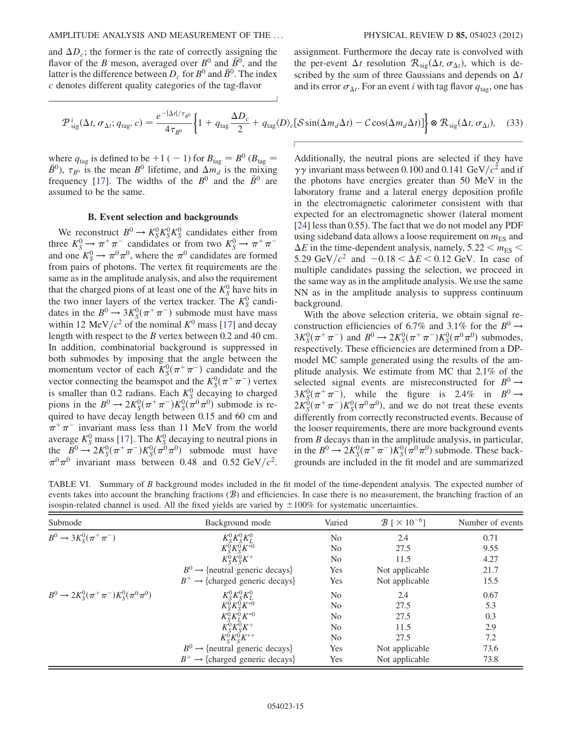and  $\Delta D_c$ ; the former is the rate of correctly assigning the flavor of the B meson, averaged over  $B^0$  and  $\bar{B}^0$ , and the latter is the difference between  $D_c$  for  $B^0$  and  $\bar{B}^0$ . The index c denotes different quality categories of the tag-flavor

assignment. Furthermore the decay rate is convolved with the per-event  $\Delta t$  resolution  $\mathcal{R}_{\text{sig}}(\Delta t, \sigma_{\Delta t})$ , which is described by the sum of three Gaussians and depends on  $\Delta t$ and its error  $\sigma_{\Delta t}$ . For an event i with tag flavor  $q_{\text{tag}}$ , one has

<span id="page-14-0"></span>
$$
\mathcal{P}_{\text{sig}}^{i}(\Delta t, \sigma_{\Delta t}; q_{\text{tag}}, c) = \frac{e^{-|\Delta t| / \tau_{B^0}}}{4 \tau_{B^0}} \left\{ 1 + q_{\text{tag}} \frac{\Delta D_c}{2} + q_{\text{tag}} \langle D \rangle_c [\mathcal{S} \sin(\Delta m_d \Delta t) - \mathcal{C} \cos(\Delta m_d \Delta t)] \right\} \otimes \mathcal{R}_{\text{sig}}(\Delta t, \sigma_{\Delta t}), \quad (33)
$$

where  $q_{\text{tag}}$  is defined to be +1 ( - 1) for  $B_{\text{tag}} = B^0$  ( $B_{\text{tag}} =$  $\bar{B}^0$ ),  $\tau_{B^0}$  is the mean  $B^0$  lifetime, and  $\Delta m_d$  is the mixing frequency [[17](#page-20-14)]. The widths of the  $B^0$  and the  $\bar{B}^0$  are assumed to be the same.

# B. Event selection and backgrounds

<span id="page-14-1"></span>We reconstruct  $B^0 \to K_S^0 K_S^0 K_S^0$  candidates either from<br>see  $K^0 \to \pi^+ \pi^-$  candidates or from two  $K^0 \to \pi^+ \pi^$ three  $K_S^0 \to \pi^+ \pi^-$  candidates or from two  $K_S^0 \to \pi^+ \pi^-$ <br>and one  $K^0 \to \pi^0 \pi^0$  where the  $\pi^0$  candidates are formed and one  $K_S^0 \to \pi^0 \pi^0$ , where the  $\pi^0$  candidates are formed<br>from pairs of photons. The vertex fit requirements are the from pairs of photons. The vertex fit requirements are the same as in the amplitude analysis, and also the requirement that the charged pions of at least one of the  $K_S^0$  have hits in the two inner layers of the vertex tracker. The  $K_S^0$  candidates in the  $B^0 \to 3K_S^0(\pi^+\pi^-)$  submode must have mass<br>within 12 MeV/ $c^2$  of the nominal  $K^0$  mass [17] and decay within 12 MeV/ $c^2$  of the nominal  $K^0$  mass [\[17\]](#page-20-14) and decay length with respect to the B vertex between 0.2 and 40 cm. In addition, combinatorial background is suppressed in both submodes by imposing that the angle between the momentum vector of each  $K_S^0(\pi^+\pi^-)$  candidate and the vector connecting the beamspot and the  $K^0(\pi^+\pi^-)$  vertex vector connecting the beamspot and the  $K_5^0(\pi^+\pi^-)$  vertex<br>is smaller than 0.2 radians. Each  $K^0$  decaying to charged is smaller than 0.2 radians. Each  $K_S^0$  decaying to charged pions in the  $B^0 \to 2K_S^0(\pi^+\pi^-)K_S^0(\pi^0\pi^0)$  submode is re-<br>quired to have decay length between 0.15 and 60 cm and quired to have decay length between 0.15 and 60 cm and  $\pi^{+}\pi^{-}$  invariant mass less than 11 MeV from the world average  $K_S^0$  mass [\[17\]](#page-20-14). The  $K_S^0$  decaying to neutral pions in the  $B^0 \to 2K_S^0(\pi^+\pi^-)K_S^0(\pi^0\pi^0)$  submode must have  $\pi^0\pi^0$  invariant mass between 0.48 and 0.52 GeV/ $c^2$  $\pi^0 \pi^0$  invariant mass between 0.48 and 0.52 GeV/ $c^2$ . Additionally, the neutral pions are selected if they have  $\gamma\gamma$  invariant mass between 0.100 and 0.141 GeV/ $c^2$  and if the photons have energies greater than 50 MeV in the laboratory frame and a lateral energy deposition profile in the electromagnetic calorimeter consistent with that expected for an electromagnetic shower (lateral moment [\[24\]](#page-20-23) less than 0.55). The fact that we do not model any PDF using sideband data allows a loose requirement on  $m_{ES}$  and  $\Delta E$  in the time-dependent analysis, namely,  $5.22 < m_{ES}$ 5.29 GeV/ $c^2$  and  $-0.18 < \Delta E < 0.12$  GeV. In case of multiple candidates passing the selection, we proceed in the same way as in the amplitude analysis. We use the same NN as in the amplitude analysis to suppress continuum background.

With the above selection criteria, we obtain signal reconstruction efficiencies of 6.7% and 3.1% for the  $B^0 \rightarrow$  $3K_S^0(\pi^+\pi^-)$  and  $B^0 \to 2K_S^0(\pi^+\pi^-)K_S^0(\pi^0\pi^0)$  submodes,<br>respectively. These efficiencies are determined from a DPrespectively. These efficiencies are determined from a DPmodel MC sample generated using the results of the amplitude analysis. We estimate from MC that 2.1% of the selected signal events are misreconstructed for  $B^0 \rightarrow$  $3K_5^0(\pi^+\pi^-)$ , while the figure is 2.4% in  $B^0 \rightarrow 2K^0(\pi^+\pi^-)K^0(\pi^0\pi^0)$  and we do not treat these events  $2K_S^0(\pi^+\pi^-)K_S^0(\pi^0\pi^0)$ , and we do not treat these events<br>differently from correctly reconstructed events. Because of differently from correctly reconstructed events. Because of the looser requirements, there are more background events from B decays than in the amplitude analysis, in particular, in the  $B^0 \to 2K_S^0(\pi^+\pi^-)K_S^0(\pi^0\pi^0)$  submode. These back-<br>orounds are included in the fit model and are summarized grounds are included in the fit model and are summarized

<span id="page-14-2"></span>TABLE VI. Summary of B background modes included in the fit model of the time-dependent analysis. The expected number of events takes into account the branching fractions  $(B)$  and efficiencies. In case there is no measurement, the branching fraction of an isospin-related channel is used. All the fixed yields are varied by  $\pm 100\%$  for systematic uncertainties.

| Submode                                       | Background mode                                        | Varied         | $\mathcal{B}$ [ $\times$ 10 <sup>-6</sup> ] | Number of events |  |
|-----------------------------------------------|--------------------------------------------------------|----------------|---------------------------------------------|------------------|--|
| $B^0 \rightarrow 3K_{\rm s}^0(\pi^+\pi^-)$    |                                                        | No             | 2.4                                         | 0.71             |  |
|                                               | $K_S^0 K_S^0 K_L^0$<br>$K_S^0 K_S^0 K^{*0}$            | N <sub>0</sub> | 27.5                                        | 9.55             |  |
|                                               | $K_S^0 K_S^0 K^+$                                      | N <sub>0</sub> | 11.5                                        | 4.27             |  |
|                                               | $B^0 \rightarrow$ {neutral generic decays}             | Yes            | Not applicable                              | 21.7             |  |
|                                               | $B^+ \rightarrow \{charged\, generic\, decays\}$       | Yes            | Not applicable                              | 15.5             |  |
| $B^0 \to 2K_S^0(\pi^+\pi^-)K_S^0(\pi^0\pi^0)$ | $K_S^0K_S^0K_L^0$                                      | N <sub>0</sub> | 2.4                                         | 0.67             |  |
|                                               | $K_{S}^{\stackrel{.}{0}}K_{S}^{\stackrel{.}{0}}K^{*0}$ | N <sub>0</sub> | 27.5                                        | 5.3              |  |
|                                               | $K_S^0 K_I^0 K^{*0}$                                   | N <sub>0</sub> | 27.5                                        | 0.3              |  |
|                                               |                                                        | N <sub>0</sub> | 11.5                                        | 2.9              |  |
|                                               | $K^0_SK^0_SK^+\\ K^0_SK^0K^0$                          | N <sub>0</sub> | 27.5                                        | 7.2              |  |
|                                               | $B^0 \rightarrow$ {neutral generic decays}             | Yes            | Not applicable                              | 73.6             |  |
|                                               | $B^+ \rightarrow \{charged\, generic\, decays\}$       | Yes.           | Not applicable                              | 73.8             |  |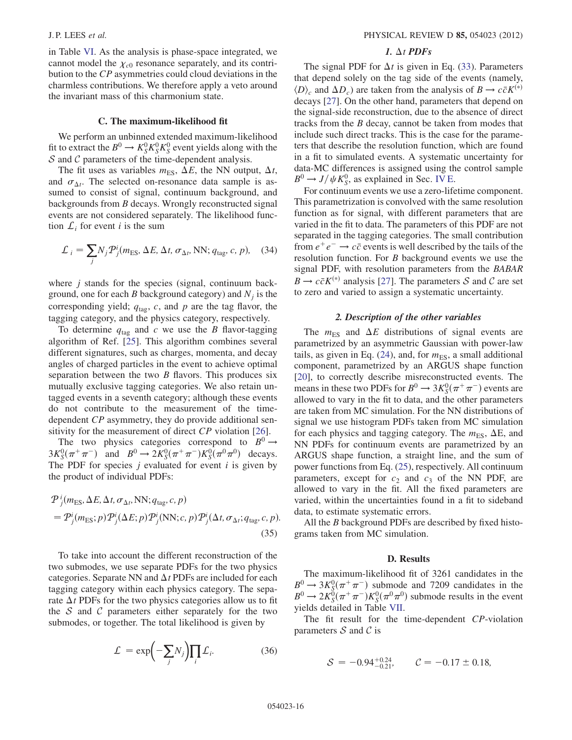in Table [VI](#page-14-2). As the analysis is phase-space integrated, we cannot model the  $\chi_{c0}$  resonance separately, and its contribution to the CP asymmetries could cloud deviations in the charmless contributions. We therefore apply a veto around the invariant mass of this charmonium state.

### C. The maximum-likelihood fit

<span id="page-15-0"></span>We perform an unbinned extended maximum-likelihood fit to extract the  $B^0 \to K_S^0 K_S^0 K_S^0$  event yields along with the  $S$  and  $C$  parameters of the time-dependent analysis  $S$  and  $C$  parameters of the time-dependent analysis.

The fit uses as variables  $m_{ES}$ ,  $\Delta E$ , the NN output,  $\Delta t$ , and  $\sigma_{\Delta t}$ . The selected on-resonance data sample is assumed to consist of signal, continuum background, and backgrounds from B decays. Wrongly reconstructed signal events are not considered separately. The likelihood function  $\mathcal{L}_i$  for event *i* is the sum

$$
\mathcal{L}_i = \sum_j N_j \mathcal{P}_j^i (m_{\text{ES}}, \Delta E, \Delta t, \sigma_{\Delta t}, \text{NN}; q_{\text{tag}}, c, p), \quad (34)
$$

where  $j$  stands for the species (signal, continuum background, one for each B background category) and  $N_i$  is the corresponding yield;  $q_{\text{tag}}$ , c, and p are the tag flavor, the tagging category, and the physics category, respectively.

To determine  $q_{\text{tag}}$  and c we use the B flavor-tagging algorithm of Ref. [\[25](#page-20-24)]. This algorithm combines several different signatures, such as charges, momenta, and decay angles of charged particles in the event to achieve optimal separation between the two  $B$  flavors. This produces six mutually exclusive tagging categories. We also retain untagged events in a seventh category; although these events do not contribute to the measurement of the timedependent CP asymmetry, they do provide additional sen-sitivity for the measurement of direct CP violation [[26](#page-20-25)].

The two physics categories correspond to  $B^0 \rightarrow$  $3K_0^0(\pi^+\pi^-)$  and  $B^0 \to 2K_0^0(\pi^+\pi^-)K_0^0(\pi^0\pi^0)$  decays.<br>The PDF for species *i* evaluated for event *i* is given by The PDF for species  $j$  evaluated for event  $i$  is given by the product of individual PDFs:

$$
\mathcal{P}_{j}^{i}(m_{\text{ES}}, \Delta E, \Delta t, \sigma_{\Delta t}, \text{NN}; q_{\text{tag}}, c, p) \n= \mathcal{P}_{j}^{i}(m_{\text{ES}}; p) \mathcal{P}_{j}^{i}(\Delta E; p) \mathcal{P}_{j}^{i}(\text{NN}; c, p) \mathcal{P}_{j}^{i}(\Delta t, \sigma_{\Delta t}; q_{\text{tag}}, c, p).
$$
\n(35)

To take into account the different reconstruction of the two submodes, we use separate PDFs for the two physics categories. Separate NN and  $\Delta t$  PDFs are included for each tagging category within each physics category. The separate  $\Delta t$  PDFs for the two physics categories allow us to fit the  $S$  and  $C$  parameters either separately for the two submodes, or together. The total likelihood is given by

$$
\mathcal{L} = \exp\left(-\sum_{j} N_{j}\right) \prod_{i} \mathcal{L}_{i}.
$$
 (36)

# 1.  $\Delta t$  PDFs

The signal PDF for  $\Delta t$  is given in Eq. ([33](#page-14-0)). Parameters that depend solely on the tag side of the events (namely,  $\langle D \rangle_c$  and  $\Delta D_c$ ) are taken from the analysis of  $B \to c\bar{c}K^{(*)}$ decays [[27](#page-20-26)]. On the other hand, parameters that depend on the signal-side reconstruction, due to the absence of direct tracks from the B decay, cannot be taken from modes that include such direct tracks. This is the case for the parameters that describe the resolution function, which are found in a fit to simulated events. A systematic uncertainty for data-MC differences is assigned using the control sample  $B^0 \rightarrow J/\psi K_S^0$ , as explained in Sec. [IV E](#page-17-0).<br>For continuum events we use a zero-life

For continuum events we use a zero-lifetime component. This parametrization is convolved with the same resolution function as for signal, with different parameters that are varied in the fit to data. The parameters of this PDF are not separated in the tagging categories. The small contribution from  $e^+e^- \rightarrow c\bar{c}$  events is well described by the tails of the resolution function. For B background events we use the signal PDF, with resolution parameters from the BABAR  $B \to c\bar{c}K^{(*)}$  analysis [[27](#page-20-26)]. The parameters S and C are set to zero and varied to assign a systematic uncertainty.

#### 2. Description of the other variables

The  $m_{ES}$  and  $\Delta E$  distributions of signal events are parametrized by an asymmetric Gaussian with power-law tails, as given in Eq. [\(24\)](#page-7-1), and, for  $m_{ES}$ , a small additional component, parametrized by an ARGUS shape function [\[20\]](#page-20-19), to correctly describe misreconstructed events. The means in these two PDFs for  $B^0 \to 3K_S^0(\pi^+\pi^-)$  events are<br>allowed to vary in the fit to data, and the other parameters allowed to vary in the fit to data, and the other parameters are taken from MC simulation. For the NN distributions of signal we use histogram PDFs taken from MC simulation for each physics and tagging category. The  $m_{ES}$ ,  $\Delta E$ , and NN PDFs for continuum events are parametrized by an ARGUS shape function, a straight line, and the sum of power functions from Eq. ([25\)](#page-7-2), respectively. All continuum parameters, except for  $c_2$  and  $c_3$  of the NN PDF, are allowed to vary in the fit. All the fixed parameters are varied, within the uncertainties found in a fit to sideband data, to estimate systematic errors.

All the B background PDFs are described by fixed histograms taken from MC simulation.

#### D. Results

The maximum-likelihood fit of 3261 candidates in the  $B^0 \rightarrow 3K_5^0(\pi^+\pi^-)$  submode and 7209 candidates in the  $B^0 \rightarrow 2K_5^0(\pi^+\pi^-)K_5^0(\pi^0\pi^0)$  submode results in the event  $B^0 \to 2K_S^0(\pi^+\pi^-)K_S^0(\pi^0\pi^0)$  submode results in the event<br>vields detailed in Table VII yields detailed in Table [VII](#page-16-0).

<span id="page-15-1"></span>The fit result for the time-dependent CP-violation parameters  $S$  and  $C$  is

$$
S = -0.94^{+0.24}_{-0.21}, \qquad C = -0.17 \pm 0.18,
$$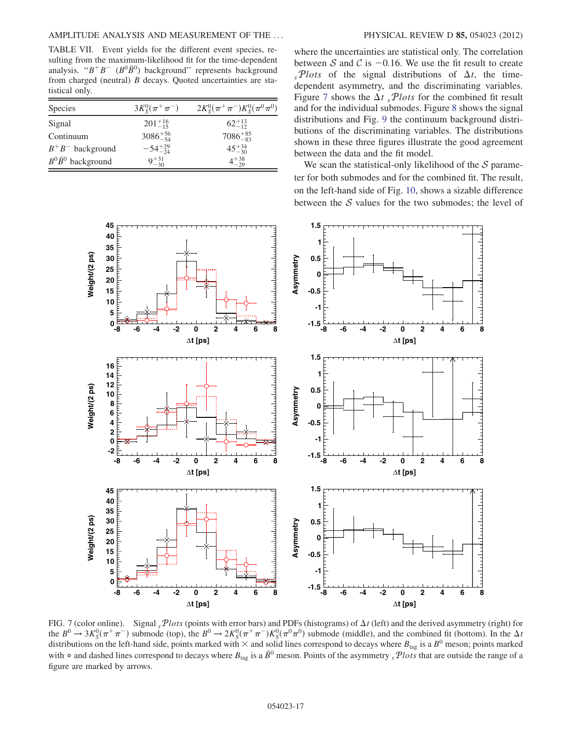<span id="page-16-0"></span>TABLE VII. Event yields for the different event species, resulting from the maximum-likelihood fit for the time-dependent analysis. " $B^+B^-$  ( $B^0\bar{B}^0$ ) background" represents background from charged (neutral) B decays. Quoted uncertainties are statistical only.

| <b>Species</b>            | $3K_{\rm s}^0(\pi^+\pi^-)$ | $2K_S^0(\pi^+\pi^-)K_S^0(\pi^0\pi^0)$ |
|---------------------------|----------------------------|---------------------------------------|
| Signal                    | $201^{+16}_{-15}$          | $62^{+13}_{-12}$                      |
| Continuum                 | $3086^{+56}_{-54}$         | $7086^{+85}_{-83}$                    |
| $B^+B^-$ background       | $-54^{+29}_{-24}$          | $45^{+34}_{-30}$                      |
| $B^0\bar{B}^0$ background | $9^{+31}_{-30}$            | $4^{+38}_{-29}$                       |
|                           |                            |                                       |

where the uncertainties are statistical only. The correlation between S and C is  $-0.16$ . We use the fit result to create  $s<sub>s</sub>Plots$  of the signal distributions of  $\Delta t$ , the timedependent asymmetry, and the discriminating variables. Figure [7](#page-16-1) shows the  $\Delta t$  sPlots for the combined fit result and for the individual submodes. Figure [8](#page-17-1) shows the signal distributions and Fig. [9](#page-18-0) the continuum background distributions of the discriminating variables. The distributions shown in these three figures illustrate the good agreement between the data and the fit model.

We scan the statistical-only likelihood of the  $S$  parameter for both submodes and for the combined fit. The result, on the left-hand side of Fig. [10,](#page-19-1) shows a sizable difference between the  $S$  values for the two submodes; the level of

<span id="page-16-1"></span>

FIG. 7 (color online). Signal  $_5$ Plots (points with error bars) and PDFs (histograms) of  $\Delta t$  (left) and the derived asymmetry (right) for the  $B^0 \to 3K_5^0(\pi^+\pi^-)$  submode (top), the  $B^0 \to 2K_5^0(\pi^+\pi^-)K_5^0(\pi^0\pi^0)$  submode (middle), and the combined fit (bottom). In the  $\Delta t$ <br>distributions on the left-hand side, points marked with  $\times$  and solid lines c distributions on the left-hand side, points marked with  $\times$  and solid lines correspond to decays where  $B_{\text{tag}}$  is a  $B^0$  meson; points marked with  $\circ$  and dashed lines correspond to decays where  $B_{\text{tag}}$  is a  $\bar{B}^0$  meson. Points of the asymmetry  $sPlots$  that are outside the range of a figure are marked by arrows.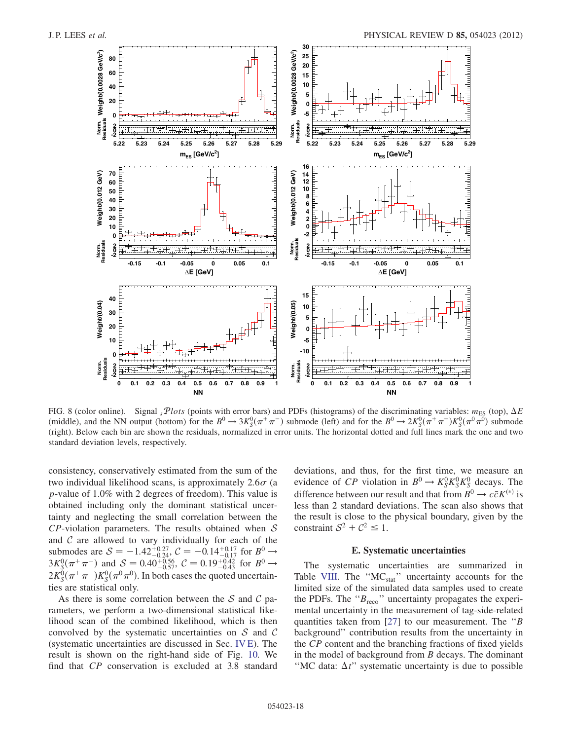<span id="page-17-1"></span>

FIG. 8 (color online). Signal  $sPlots$  (points with error bars) and PDFs (histograms) of the discriminating variables:  $m_{ES}$  (top),  $\Delta E$ (middle), and the NN output (bottom) for the  $B^0 \to 3K_5^0(\pi^+\pi^-)$  submode (left) and for the  $B^0 \to 2K_5^0(\pi^+\pi^-)K_5^0(\pi^0\pi^0)$  submode<br>(right). Below each bin are shown the residuals normalized in error units. The hori (right). Below each bin are shown the residuals, normalized in error units. The horizontal dotted and full lines mark the one and two standard deviation levels, respectively.

consistency, conservatively estimated from the sum of the two individual likelihood scans, is approximately  $2.6\sigma$  (a p-value of 1.0% with 2 degrees of freedom). This value is obtained including only the dominant statistical uncertainty and neglecting the small correlation between the  $CP$ -violation parameters. The results obtained when  $S$ and  $C$  are allowed to vary individually for each of the submodes are  $S = -1.42^{+0.27}_{-0.24}$ ,  $C = -0.14^{+0.17}_{-0.17}$  for  $B^0 \rightarrow 3K_S^0(\pi^+\pi^-)$  and  $S = 0.40^{+0.56}_{-0.57}$ ,  $C = 0.19^{+0.42}_{-0.43}$  for  $B^0 \rightarrow 2K_S^0(\pi^+\pi^-)K_S^0(\pi^0\pi^0)$ . In both cases the quoted uncertainties are sta ties are statistical only.

As there is some correlation between the S and C parameters, we perform a two-dimensional statistical likelihood scan of the combined likelihood, which is then convolved by the systematic uncertainties on  $S$  and  $C$ (systematic uncertainties are discussed in Sec. [IV E](#page-17-0)). The result is shown on the right-hand side of Fig. [10.](#page-19-1) We find that CP conservation is excluded at 3.8 standard deviations, and thus, for the first time, we measure an evidence of CP violation in  $B^0 \to K_S^0 K_S^0 K_S^0$  decays. The difference between our result and that from  $B^0 \to c\bar{\sigma} K^{(*)}$  is difference between our result and that from  $B^0 \to c\bar{c}K^{(*)}$  is less than 2 standard deviations. The scan also shows that the result is close to the physical boundary, given by the constraint  $S^2 + C^2 \leq 1$ .

# E. Systematic uncertainties

<span id="page-17-0"></span>The systematic uncertainties are summarized in Table [VIII](#page-19-2). The "MC<sub>stat</sub>" uncertainty accounts for the limited size of the simulated data samples used to create the PDFs. The " $B_{\text{reco}}$ " uncertainty propagates the experimental uncertainty in the measurement of tag-side-related quantities taken from [\[27](#page-20-26)] to our measurement. The " $B$ background'' contribution results from the uncertainty in the CP content and the branching fractions of fixed yields in the model of background from  $B$  decays. The dominant "MC data:  $\Delta t$ " systematic uncertainty is due to possible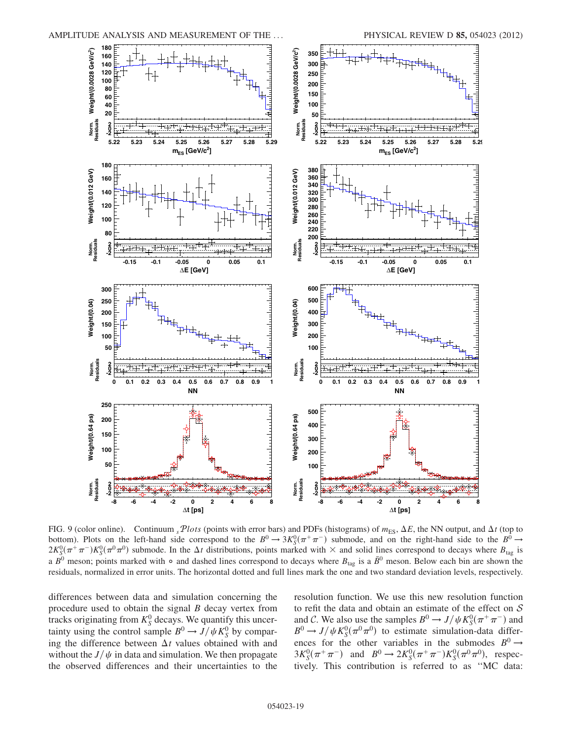<span id="page-18-0"></span>

FIG. 9 (color online). Continuum  $sPlots$  (points with error bars) and PDFs (histograms) of  $m_{ES}$ ,  $\Delta E$ , the NN output, and  $\Delta t$  (top to bottom). Plots on the left-hand side correspond to the  $B^0 \to 3K_5^0(\pi^+\pi^-)$  submode, and on the right-hand side to the  $B^0 \to 2K_5^0(\pi^+\pi^-)K_5^0(\pi^0\pi^0)$  submode. In the At distributions points marked with  $\times$  and soli  $2K_S^0(\pi^+\pi^-)K_S^0(\pi^0\pi^0)$  submode. In the  $\Delta t$  distributions, points marked with  $\times$  and solid lines correspond to decays where  $B_{\text{tag}}$  is a  $\bar{R}^0$  meson, Below each bin are shown the a  $B^0$  meson; points marked with  $\circ$  and dashed lines correspond to decays where  $B_{\text{tag}}$  is a  $\bar{B}^0$  meson. Below each bin are shown the residuals, normalized in error units. The horizontal dotted and full lines mark the one and two standard deviation levels, respectively.

differences between data and simulation concerning the procedure used to obtain the signal  $B$  decay vertex from tracks originating from  $K_S^0$  decays. We quantify this uncertainty using the control sample  $B^0 \to J/\psi K_S^0$  by compar-<br>ing the difference between At values obtained with and ing the difference between  $\Delta t$  values obtained with and without the  $J/\psi$  in data and simulation. We then propagate the observed differences and their uncertainties to the resolution function. We use this new resolution function to refit the data and obtain an estimate of the effect on  $S$ and C. We also use the samples  $B^0 \to J/\psi K_S^0(\pi^+\pi^-)$  and  $B^0 \to J/\psi K^0(\pi^0\pi^0)$  to estimate simulation-data differ- $B^0 \rightarrow J/\psi K_S^0(\pi^0 \pi^0)$  to estimate simulation-data differ-<br>ences for the other variables in the submodes  $R^0 \rightarrow$ ences for the other variables in the submodes  $B^0 \rightarrow$  $3K_5^0(\pi^+\pi^-)$  and  $B^0 \to 2K_5^0(\pi^+\pi^-)K_5^0(\pi^0\pi^0)$ , respectively. This contribution is referred to as "MC data" tively. This contribution is referred to as ''MC data: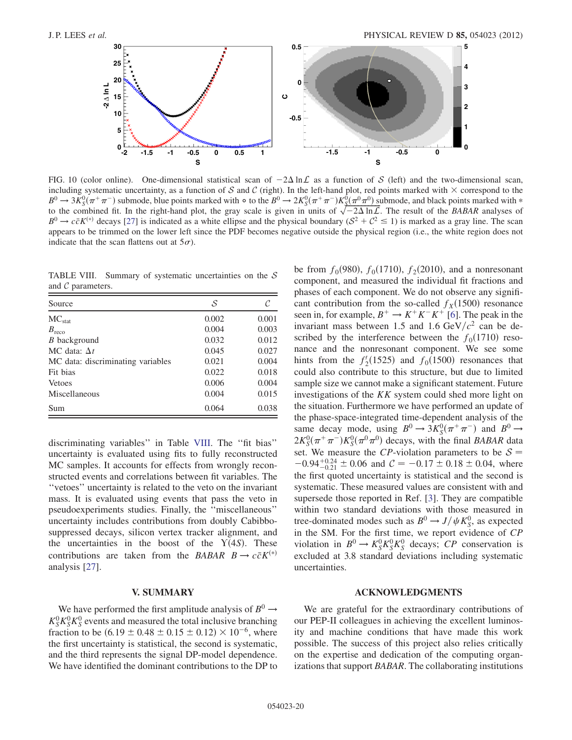<span id="page-19-1"></span>

FIG. 10 (color online). One-dimensional statistical scan of  $-2\Delta \ln \mathcal{L}$  as a function of S (left) and the two-dimensional scan, including systematic uncertainty, as a function of S and C (right). In the left-hand plot, red points marked with  $\times$  correspond to the  $B^0 \to 3K_S^0(\pi^+\pi^-)$  submode, blue points marked with  $\circ$  to the  $B^0 \to 2K_S^0(\pi^+\pi^-)K_S^0(\pi^0\pi^0)$  submode, and black points marked with  $\ast$ <br>to the combined fit. In the right-hand plot, the gray scale is given in units to the combined fit. In the right-hand plot, the gray scale is given in units of  $\sqrt{-2\Delta \ln L}$ . The result of the BABAR analyses of  $R^0 \to c\bar{c}K^{(*)}$  decays [27] is indicated as a white ellinse and the physical boundary  $(S$  $B^0 \to c\bar{c}K^{(*)}$  decays [\[27\]](#page-20-26) is indicated as a white ellipse and the physical boundary ( $S^2 + C^2 \le 1$ ) is marked as a gray line. The scan appears to be trimmed on the lower left since the PDF becomes negative outside the physical region (i.e., the white region does not indicate that the scan flattens out at  $5\sigma$ ).

<span id="page-19-2"></span>TABLE VIII. Summary of systematic uncertainties on the  $S$ and C parameters.

| Source                            | S     |       |
|-----------------------------------|-------|-------|
| $MC_{stat}$                       | 0.002 | 0.001 |
| $B_{\text{reco}}$                 | 0.004 | 0.003 |
| <i>B</i> background               | 0.032 | 0.012 |
| MC data: $\Delta t$               | 0.045 | 0.027 |
| MC data: discriminating variables | 0.021 | 0.004 |
| Fit bias                          | 0.022 | 0.018 |
| Vetoes                            | 0.006 | 0.004 |
| Miscellaneous                     | 0.004 | 0.015 |
| Sum                               | 0.064 | 0.038 |

discriminating variables'' in Table [VIII](#page-19-2). The ''fit bias'' uncertainty is evaluated using fits to fully reconstructed MC samples. It accounts for effects from wrongly reconstructed events and correlations between fit variables. The ''vetoes'' uncertainty is related to the veto on the invariant mass. It is evaluated using events that pass the veto in pseudoexperiments studies. Finally, the ''miscellaneous'' uncertainty includes contributions from doubly Cabibbosuppressed decays, silicon vertex tracker alignment, and the uncertainties in the boost of the  $Y(4S)$ . These<br>contributions are taken from the *BARAR*  $B \rightarrow c\bar{c}K^{(*)}$ contributions are taken from the BABAR  $B \to c\bar{c}K^{(*)}$ analysis [\[27\]](#page-20-26).

# V. SUMMARY

<span id="page-19-0"></span>We have performed the first amplitude analysis of  $B^0 \rightarrow$  $K_S^0 K_S^0 K_S^0$  events and measured the total inclusive branching fraction to be  $(6.19 \pm 0.48 \pm 0.15 \pm 0.12) \times 10^{-6}$ , where the first uncertainty is statistical the second is systematic the first uncertainty is statistical, the second is systematic, and the third represents the signal DP-model dependence. We have identified the dominant contributions to the DP to be from  $f_0(980)$ ,  $f_0(1710)$ ,  $f_2(2010)$ , and a nonresonant component, and measured the individual fit fractions and phases of each component. We do not observe any significant contribution from the so-called  $f<sub>X</sub>(1500)$  resonance seen in, for example,  $B^+ \rightarrow K^+K^-K^+$  [\[6\]](#page-20-5). The peak in the invariant mass between 1.5 and 1.6 GeV/ $c<sup>2</sup>$  can be described by the interference between the  $f_0(1710)$  resonance and the nonresonant component. We see some hints from the  $f_2'(1525)$  and  $f_0(1500)$  resonances that could also contribute to this structure but due to limited could also contribute to this structure, but due to limited sample size we cannot make a significant statement. Future investigations of the KK system could shed more light on the situation. Furthermore we have performed an update of the phase-space-integrated time-dependent analysis of the same decay mode, using  $B^0 \to 3K_5^0(\pi^+\pi^-)$  and  $B^0 \to 2K_5^0(\pi^+\pi^-)K_5^0(\pi^0\pi^0)$  decays with the final *BABAR* data  $2K_S^0(\pi^+\pi^-)K_S^0(\pi^0\pi^0)$  decays, with the final *BABAR* data<br>set. We measure the *CP*-violation parameters to be  $S =$ set. We measure the CP-violation parameters to be  $S =$  $-0.94^{+0.24}_{-0.21} \pm 0.06$  and  $C = -0.17 \pm 0.18 \pm 0.04$ , where the first quoted uncertainty is statistical and the second is systematic. These measured values are consistent with and supersede those reported in Ref. [\[3\]](#page-20-2). They are compatible within two standard deviations with those measured in tree-dominated modes such as  $B^0 \rightarrow J/\psi K_S^0$ , as expected<br>in the SM. For the first time, we report evidence of CP in the SM. For the first time, we report evidence of CP violation in  $B^0 \to K_S^0 K_S^0 K_S^0$  decays;  $CP$  conservation is<br>excluded at 3.8 standard deviations including systematic excluded at 3.8 standard deviations including systematic uncertainties.

# ACKNOWLEDGMENTS

We are grateful for the extraordinary contributions of our PEP-II colleagues in achieving the excellent luminosity and machine conditions that have made this work possible. The success of this project also relies critically on the expertise and dedication of the computing organizations that support BABAR. The collaborating institutions